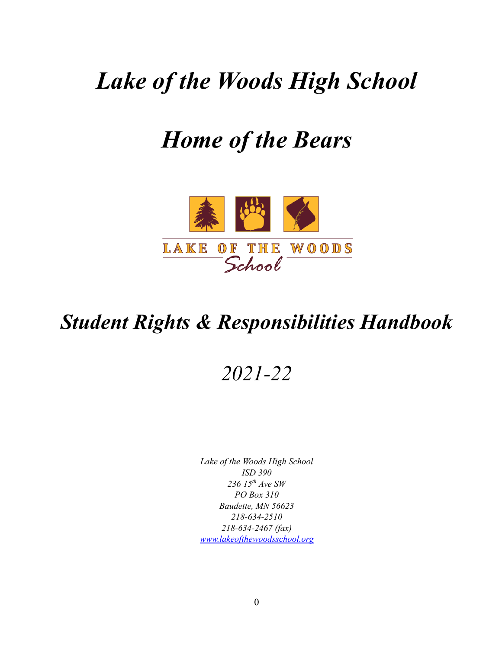# *Lake of the Woods High School*

# *Home of the Bears*



# *Student Rights & Responsibilities Handbook*

## *2021-22*

*Lake of the Woods High School ISD 390 236 15 th Ave SW PO Box 310 Baudette, MN 56623 218-634-2510 218-634-2467 (fax) [www.lakeofthewoodsschool.org](http://www.lakeofthewoodsschool.org)*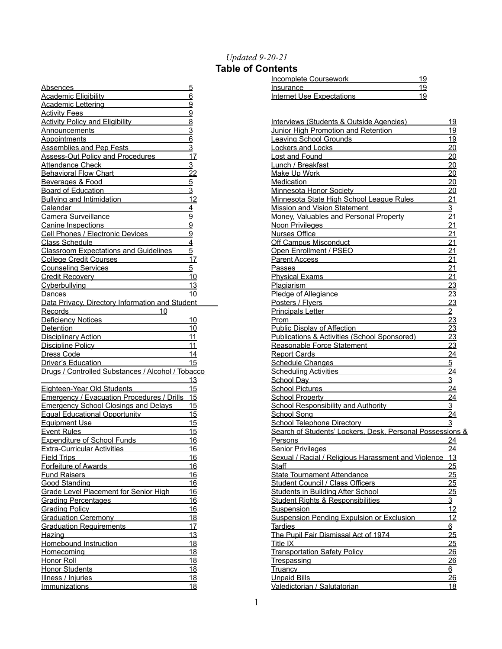#### *Updated 9-20-21*

### **Table of Contents**

| Absences                                                        | <u>5</u>        |
|-----------------------------------------------------------------|-----------------|
| <b>Academic Eligibility</b>                                     | 6               |
| Academic Lettering                                              | 9               |
| <b>Activity Fees</b>                                            | $\overline{9}$  |
| <b>Activity Policy and Eligibility</b>                          | 8               |
| Announcements                                                   | <u>3</u>        |
| <b>Appointments</b>                                             | $\overline{6}$  |
| <b>Assemblies and Pep Fests</b>                                 | $\overline{3}$  |
| Assess-Out Policy and Procedures                                | 17              |
| Attendance Check                                                | <u>3</u>        |
| <b>Behavioral Flow Chart</b>                                    | $\overline{2}2$ |
| Beverages & Food                                                | $\overline{5}$  |
| <b>Board of Education</b>                                       | $\overline{3}$  |
| Bullying and Intimidation                                       | 12              |
| Calendar                                                        | $\overline{4}$  |
| Camera Surveillance                                             | $\overline{9}$  |
| Canine Inspections                                              | $\overline{9}$  |
| Cell Phones / Electronic Devices                                | $\overline{9}$  |
| <b>Class Schedule</b>                                           | $\overline{4}$  |
| <b>Classroom Expectations and Guidelines</b>                    | $\overline{5}$  |
| <b>College Credit Courses</b>                                   | 17              |
| <b>Counseling Services</b>                                      | <u>5</u>        |
| Credit Recovery <b>Credit Recovery</b>                          | 10              |
|                                                                 |                 |
| <b>Cyberbullying</b>                                            | 13              |
| Dances                                                          | 10              |
| Data Privacy, Directory Information and Student<br>Records      |                 |
| 10                                                              |                 |
| Deficiency Notices                                              | 10              |
| <b>Detention</b>                                                | 10              |
| Disciplinary Action <b>Contains the Container Street Action</b> | 11              |
| Discipline Policy Property Property Property                    | 11              |
| Dress Code                                                      | 14              |
| Driver's Education                                              | 15              |
| Drugs / Controlled Substances / Alcohol / Tobacco               |                 |
|                                                                 | 13              |
| Eighteen-Year Old Students                                      | <u> 15</u>      |
| Emergency / Evacuation Procedures / Drills 15                   |                 |
| <b>Emergency School Closings and Delays</b>                     | 15              |
| Equal Educational Opportunity                                   | 15              |
| Equipment Use                                                   | 15              |
| <b>Event Rules</b>                                              | 15              |
| <b>Expenditure of School Funds</b>                              | 16              |
| <b>Extra-Curricular Activities</b>                              | 16              |
| <b>Field Trips</b>                                              | <u> 16</u>      |
| Forfeiture of Awards                                            | 16              |
| <b>Fund Raisers</b>                                             | 16              |
| <b>Good Standing</b>                                            | 16              |
| Grade Level Placement for Senior High                           | 16              |
| <b>Grading Percentages</b>                                      | 16              |
| <b>Grading Policy</b>                                           | <u> 16</u>      |
| <b>Graduation Ceremony</b>                                      | 18              |
| Graduation Requirements                                         |                 |
| Hazing                                                          | 17              |
|                                                                 | 13              |
| Homebound Instruction                                           | <u> 18</u>      |
| <u>Homecomina</u>                                               | 18              |
| <u>Honor Roll</u>                                               | 18              |
| Honor Students <b>Manual</b>                                    | <u>18</u>       |
| Illness / Injuries                                              | <u> 18</u>      |

| Incomplete Coursework     |  |
|---------------------------|--|
| Insurance                 |  |
| Internet Use Expectations |  |

| Interviews (Students & Outside Agencies)                                              | 19              |
|---------------------------------------------------------------------------------------|-----------------|
| Junior High Promotion and Retention                                                   | 19              |
| <b>Leaving School Grounds</b>                                                         | <u>19</u>       |
| <b>Lockers and Locks</b>                                                              | 20              |
| <b>Lost and Found</b>                                                                 | <u> 20</u>      |
| Lunch / Breakfast                                                                     | 20              |
| <b>Make Up Work</b>                                                                   | 20              |
| <b>Medication</b>                                                                     | <u> 20</u>      |
| Minnesota Honor Society                                                               | 20              |
| Minnesota State High School League Rules                                              | <u>21</u>       |
| <b>Mission and Vision Statement</b>                                                   | 3               |
| Money, Valuables and Personal Property                                                | 21              |
| Noon Privileges Noon 1999                                                             | 21              |
| <b>Nurses Office</b>                                                                  | <u>21</u>       |
| Off Campus Misconduct <b>Campus</b> Misconduct                                        | 21              |
| Open Enrollment / PSEO                                                                | 21              |
| Parent Access <b>Parameter</b>                                                        | 21              |
| Passes                                                                                | <u>21</u>       |
| <b>Physical Exams</b>                                                                 | 21              |
| <b>Plagiarism</b>                                                                     | 23              |
| Pledge of Allegiance                                                                  | 23              |
| Posters / Flyers                                                                      | 23              |
|                                                                                       | $\overline{2}$  |
| <b>Principals Letter</b>                                                              |                 |
| Prom                                                                                  | 23              |
| Public Display of Affection                                                           | 23              |
| Publications & Activities (School Sponsored)                                          | 23              |
| Reasonable Force Statement                                                            | 23              |
| <b>Report Cards</b><br>and the control of the control of                              | $\overline{24}$ |
| Schedule Changes <b>Schedule Changes</b>                                              | 5               |
| <b>Scheduling Activities Scheduling Activities</b>                                    | $\overline{24}$ |
| School Dav <b>School Dav School Dav School Dav</b>                                    | 3               |
| <b>School Pictures</b><br>the control of the control of the control of the control of | $\overline{24}$ |
| <b>School Property</b>                                                                | 24              |
| <b>School Responsibility and Authority</b>                                            | <u>3</u>        |
| School Song                                                                           | 24              |
| <b>School Telephone Directory</b>                                                     | <u>3</u>        |
| Search of Students' Lockers. Desk. Personal Possessions &                             |                 |
| Persons                                                                               | <u>24</u>       |
| <b>Senior Privileges</b>                                                              | 24              |
| Sexual / Racial / Religious Harassment and Violence                                   | 13              |
| Staff                                                                                 | 25              |
| <b>State Tournament Attendance</b>                                                    | <u> 25</u>      |
| Student Council / Class Officers                                                      | 25              |
| <b>Students in Building After School</b>                                              | 25              |
| <b>Student Rights &amp; Responsibilities</b>                                          | 3               |
| Suspension                                                                            | 12              |
| Suspension Pending Expulsion or Exclusion                                             | 12              |
| Tardies                                                                               | $6 \overline{}$ |
| The Pupil Fair Dismissal Act of 1974                                                  | 25              |
| Title IX                                                                              | 25              |
| <b>Transportation Safety Policy</b>                                                   | <u> 26</u>      |
| Trespassing                                                                           | $\frac{26}{5}$  |
| Truancy                                                                               | 6               |
|                                                                                       |                 |
| <b>Unpaid Bills</b>                                                                   | 26              |
| Valedictorian / Salutatorian                                                          | <u> 18</u>      |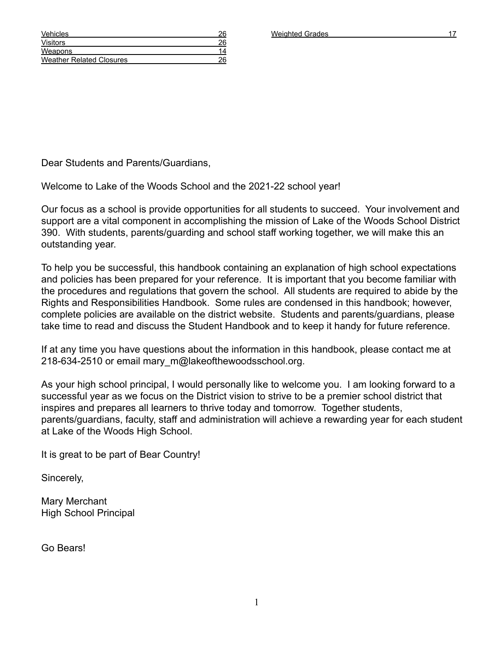Dear Students and Parents/Guardians,

Welcome to Lake of the Woods School and the 2021-22 school year!

Our focus as a school is provide opportunities for all students to succeed. Your involvement and support are a vital component in accomplishing the mission of Lake of the Woods School District 390. With students, parents/guarding and school staff working together, we will make this an outstanding year.

To help you be successful, this handbook containing an explanation of high school expectations and policies has been prepared for your reference. It is important that you become familiar with the procedures and regulations that govern the school. All students are required to abide by the Rights and Responsibilities Handbook. Some rules are condensed in this handbook; however, complete policies are available on the district website. Students and parents/guardians, please take time to read and discuss the Student Handbook and to keep it handy for future reference.

If at any time you have questions about the information in this handbook, please contact me at 218-634-2510 or email mary m@lakeofthewoodsschool.org.

As your high school principal, I would personally like to welcome you. I am looking forward to a successful year as we focus on the District vision to strive to be a premier school district that inspires and prepares all learners to thrive today and tomorrow. Together students, parents/guardians, faculty, staff and administration will achieve a rewarding year for each student at Lake of the Woods High School.

1

It is great to be part of Bear Country!

Sincerely,

Mary Merchant High School Principal

Go Bears!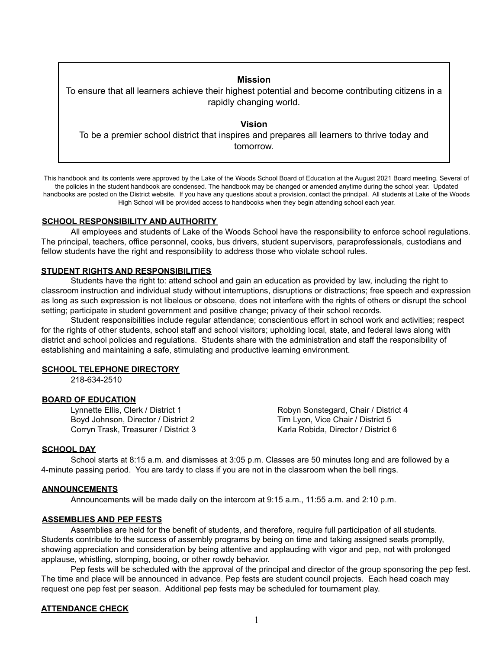### **Mission**

To ensure that all learners achieve their highest potential and become contributing citizens in a rapidly changing world.

**Vision** To be a premier school district that inspires and prepares all learners to thrive today and tomorrow.

This handbook and its contents were approved by the Lake of the Woods School Board of Education at the August 2021 Board meeting. Several of the policies in the student handbook are condensed. The handbook may be changed or amended anytime during the school year. Updated handbooks are posted on the District website. If you have any questions about a provision, contact the principal. All students at Lake of the Woods High School will be provided access to handbooks when they begin attending school each year.

#### **SCHOOL RESPONSIBILITY AND AUTHORITY**

All employees and students of Lake of the Woods School have the responsibility to enforce school regulations. The principal, teachers, office personnel, cooks, bus drivers, student supervisors, paraprofessionals, custodians and fellow students have the right and responsibility to address those who violate school rules.

#### **STUDENT RIGHTS AND RESPONSIBILITIES**

Students have the right to: attend school and gain an education as provided by law, including the right to classroom instruction and individual study without interruptions, disruptions or distractions; free speech and expression as long as such expression is not libelous or obscene, does not interfere with the rights of others or disrupt the school setting; participate in student government and positive change; privacy of their school records.

Student responsibilities include regular attendance; conscientious effort in school work and activities; respect for the rights of other students, school staff and school visitors; upholding local, state, and federal laws along with district and school policies and regulations. Students share with the administration and staff the responsibility of establishing and maintaining a safe, stimulating and productive learning environment.

#### **SCHOOL TELEPHONE DIRECTORY**

218-634-2510

#### **BOARD OF EDUCATION**

Boyd Johnson, Director / District 2 Tim Lyon, Vice Chair / District 5 Corryn Trask, Treasurer / District 3 Karla Robida, Director / District 6

Lynnette Ellis, Clerk / District 1 Robyn Sonstegard, Chair / District 4

#### **SCHOOL DAY**

School starts at 8:15 a.m. and dismisses at 3:05 p.m. Classes are 50 minutes long and are followed by a 4-minute passing period. You are tardy to class if you are not in the classroom when the bell rings.

#### **ANNOUNCEMENTS**

Announcements will be made daily on the intercom at 9:15 a.m., 11:55 a.m. and 2:10 p.m.

#### **ASSEMBLIES AND PEP FESTS**

Assemblies are held for the benefit of students, and therefore, require full participation of all students. Students contribute to the success of assembly programs by being on time and taking assigned seats promptly, showing appreciation and consideration by being attentive and applauding with vigor and pep, not with prolonged applause, whistling, stomping, booing, or other rowdy behavior.

Pep fests will be scheduled with the approval of the principal and director of the group sponsoring the pep fest. The time and place will be announced in advance. Pep fests are student council projects. Each head coach may request one pep fest per season. Additional pep fests may be scheduled for tournament play.

#### **ATTENDANCE CHECK**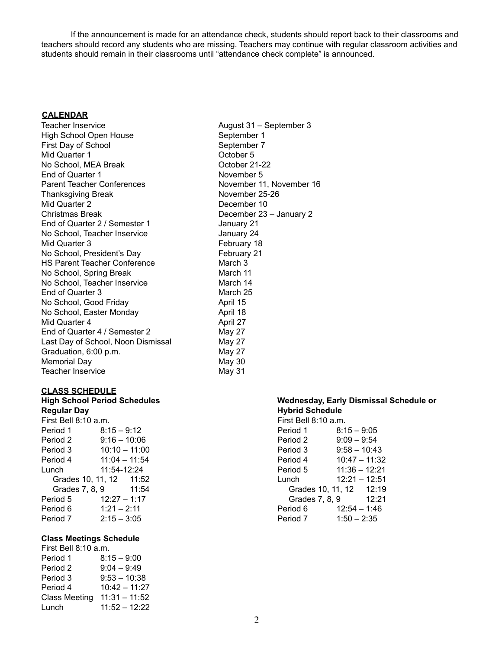If the announcement is made for an attendance check, students should report back to their classrooms and teachers should record any students who are missing. Teachers may continue with regular classroom activities and students should remain in their classrooms until "attendance check complete" is announced.

#### **CALENDAR**

Teacher Inservice **August 31** – September 3 High School Open House September 1 First Day of School September 7 Mid Quarter 1 and 2008 and 2008 and 2008 and 2008 and 2008 and 2008 and 2008 and 2008 and 2008 and 2008 and 20 No School, MEA Break Contract Contract Contract October 21-22 End of Quarter 1 November 5 Parent Teacher Conferences November 11, November 16 Thanksgiving Break November 25-26 Mid Quarter 2 December 10 Christmas Break December 23 – January 2 End of Quarter 2 / Semester 1 January 21 No School, Teacher Inservice January 24 Mid Quarter 3 February 18 No School, President's Day February 21 HS Parent Teacher Conference March 3 No School, Spring Break March 11 No School, Teacher Inservice March 14 End of Quarter 3 March 25 No School, Good Friday **April 15** No School, Easter Monday **April 18** Mid Quarter 4 April 27 End of Quarter 4 / Semester 2 May 27 Last Day of School, Noon Dismissal May 27 Graduation, 6:00 p.m. May 27 Memorial Day **May 30** Teacher Inservice May 31

#### **CLASS SCHEDULE**

### **Regular Day Hybrid Schedule** First Bell 8:10 a.m.

Period 1 8:15 – 9:12 Period 2 9:16 – 10:06 Period 3 10:10 – 11:00<br>Period 4 11:04 – 11:54  $11:04 - 11:54$ Lunch 11:54-12:24 Grades 10, 11, 12 11:52 Grades 7, 8, 9 11:54 Period 5 12:27 – 1:17 Period 6  $1:21 - 2:11$ Period 7 2:15 – 3:05

#### **Class Meetings Schedule**

| First Bell 8:10 a.m. |                 |  |  |
|----------------------|-----------------|--|--|
| Period 1             | $8:15 - 9:00$   |  |  |
| Period 2             | $9:04 - 9:49$   |  |  |
| Period 3             | $9:53 - 10:38$  |  |  |
| Period 4             | $10:42 - 11:27$ |  |  |
| <b>Class Meeting</b> | $11:31 - 11:52$ |  |  |
| Lunch                | $11:52 - 12:22$ |  |  |

## **High School Period Schedules Wednesday, Early Dismissal Schedule or**

| First Bell 8:10 a.m.    |                 |       |
|-------------------------|-----------------|-------|
| Period 1                | $8:15 - 9:05$   |       |
| Period 2                | $9:09 - 9:54$   |       |
| Period 3                | $9:58 - 10:43$  |       |
| Period 4                | $10:47 - 11:32$ |       |
| Period 5                | $11:36 - 12:21$ |       |
| Lunch                   | $12:21 - 12:51$ |       |
| Grades 10, 11, 12 12:19 |                 |       |
| Grades 7, 8, 9          |                 | 12:21 |
| Period 6                | $12:54 - 1:46$  |       |
| Period 7                | $1:50 - 2:35$   |       |
|                         |                 |       |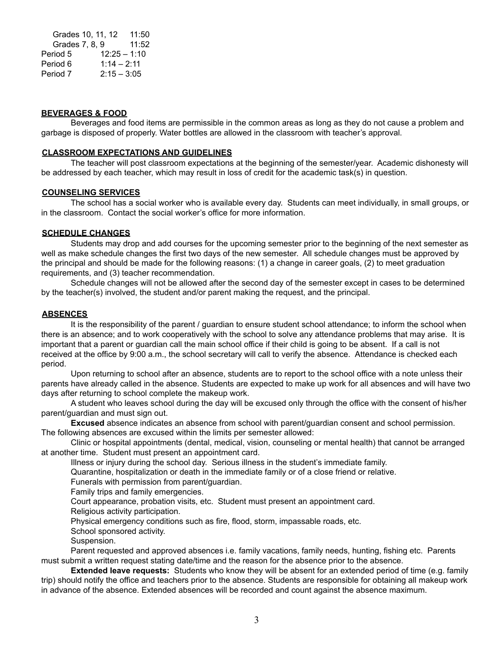Grades 10, 11, 12 11:50 Grades 7, 8, 9 11:52 Period 5 12:25 – 1:10 Period 6 1:14 – 2:11 Period 7 2:15 – 3:05

#### **BEVERAGES & FOOD**

Beverages and food items are permissible in the common areas as long as they do not cause a problem and garbage is disposed of properly. Water bottles are allowed in the classroom with teacher's approval.

#### **CLASSROOM EXPECTATIONS AND GUIDELINES**

The teacher will post classroom expectations at the beginning of the semester/year. Academic dishonesty will be addressed by each teacher, which may result in loss of credit for the academic task(s) in question.

#### **COUNSELING SERVICES**

The school has a social worker who is available every day. Students can meet individually, in small groups, or in the classroom. Contact the social worker's office for more information.

#### **SCHEDULE CHANGES**

Students may drop and add courses for the upcoming semester prior to the beginning of the next semester as well as make schedule changes the first two days of the new semester. All schedule changes must be approved by the principal and should be made for the following reasons: (1) a change in career goals, (2) to meet graduation requirements, and (3) teacher recommendation.

Schedule changes will not be allowed after the second day of the semester except in cases to be determined by the teacher(s) involved, the student and/or parent making the request, and the principal.

#### **ABSENCES**

It is the responsibility of the parent / guardian to ensure student school attendance; to inform the school when there is an absence; and to work cooperatively with the school to solve any attendance problems that may arise. It is important that a parent or guardian call the main school office if their child is going to be absent. If a call is not received at the office by 9:00 a.m., the school secretary will call to verify the absence. Attendance is checked each period.

Upon returning to school after an absence, students are to report to the school office with a note unless their parents have already called in the absence. Students are expected to make up work for all absences and will have two days after returning to school complete the makeup work.

A student who leaves school during the day will be excused only through the office with the consent of his/her parent/guardian and must sign out.

**Excused** absence indicates an absence from school with parent/guardian consent and school permission. The following absences are excused within the limits per semester allowed:

Clinic or hospital appointments (dental, medical, vision, counseling or mental health) that cannot be arranged at another time. Student must present an appointment card.

Illness or injury during the school day. Serious illness in the student's immediate family.

Quarantine, hospitalization or death in the immediate family or of a close friend or relative.

Funerals with permission from parent/guardian.

Family trips and family emergencies.

Court appearance, probation visits, etc. Student must present an appointment card.

Religious activity participation.

Physical emergency conditions such as fire, flood, storm, impassable roads, etc.

School sponsored activity.

Suspension.

Parent requested and approved absences i.e. family vacations, family needs, hunting, fishing etc. Parents must submit a written request stating date/time and the reason for the absence prior to the absence.

**Extended leave requests:** Students who know they will be absent for an extended period of time (e.g. family trip) should notify the office and teachers prior to the absence. Students are responsible for obtaining all makeup work in advance of the absence. Extended absences will be recorded and count against the absence maximum.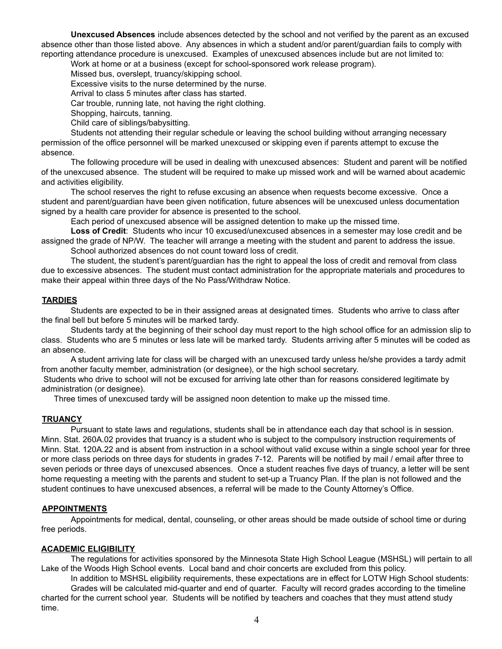**Unexcused Absences** include absences detected by the school and not verified by the parent as an excused absence other than those listed above. Any absences in which a student and/or parent/guardian fails to comply with reporting attendance procedure is unexcused. Examples of unexcused absences include but are not limited to:

Work at home or at a business (except for school-sponsored work release program).

Missed bus, overslept, truancy/skipping school.

Excessive visits to the nurse determined by the nurse.

Arrival to class 5 minutes after class has started.

Car trouble, running late, not having the right clothing.

Shopping, haircuts, tanning.

Child care of siblings/babysitting.

Students not attending their regular schedule or leaving the school building without arranging necessary permission of the office personnel will be marked unexcused or skipping even if parents attempt to excuse the absence.

The following procedure will be used in dealing with unexcused absences: Student and parent will be notified of the unexcused absence. The student will be required to make up missed work and will be warned about academic and activities eligibility.

The school reserves the right to refuse excusing an absence when requests become excessive. Once a student and parent/guardian have been given notification, future absences will be unexcused unless documentation signed by a health care provider for absence is presented to the school.

Each period of unexcused absence will be assigned detention to make up the missed time.

**Loss of Credit**: Students who incur 10 excused/unexcused absences in a semester may lose credit and be assigned the grade of NP/W. The teacher will arrange a meeting with the student and parent to address the issue. School authorized absences do not count toward loss of credit.

The student, the student's parent/guardian has the right to appeal the loss of credit and removal from class due to excessive absences. The student must contact administration for the appropriate materials and procedures to make their appeal within three days of the No Pass/Withdraw Notice.

#### **TARDIES**

Students are expected to be in their assigned areas at designated times. Students who arrive to class after the final bell but before 5 minutes will be marked tardy.

Students tardy at the beginning of their school day must report to the high school office for an admission slip to class. Students who are 5 minutes or less late will be marked tardy. Students arriving after 5 minutes will be coded as an absence.

A student arriving late for class will be charged with an unexcused tardy unless he/she provides a tardy admit from another faculty member, administration (or designee), or the high school secretary.

Students who drive to school will not be excused for arriving late other than for reasons considered legitimate by administration (or designee).

Three times of unexcused tardy will be assigned noon detention to make up the missed time.

#### **TRUANCY**

Pursuant to state laws and regulations, students shall be in attendance each day that school is in session. Minn. Stat. 260A.02 provides that truancy is a student who is subject to the compulsory instruction requirements of Minn. Stat. 120A.22 and is absent from instruction in a school without valid excuse within a single school year for three or more class periods on three days for students in grades 7-12. Parents will be notified by mail / email after three to seven periods or three days of unexcused absences. Once a student reaches five days of truancy, a letter will be sent home requesting a meeting with the parents and student to set-up a Truancy Plan. If the plan is not followed and the student continues to have unexcused absences, a referral will be made to the County Attorney's Office.

#### **APPOINTMENTS**

Appointments for medical, dental, counseling, or other areas should be made outside of school time or during free periods.

#### **ACADEMIC ELIGIBILITY**

The regulations for activities sponsored by the Minnesota State High School League (MSHSL) will pertain to all Lake of the Woods High School events. Local band and choir concerts are excluded from this policy.

In addition to MSHSL eligibility requirements, these expectations are in effect for LOTW High School students: Grades will be calculated mid-quarter and end of quarter. Faculty will record grades according to the timeline charted for the current school year. Students will be notified by teachers and coaches that they must attend study time.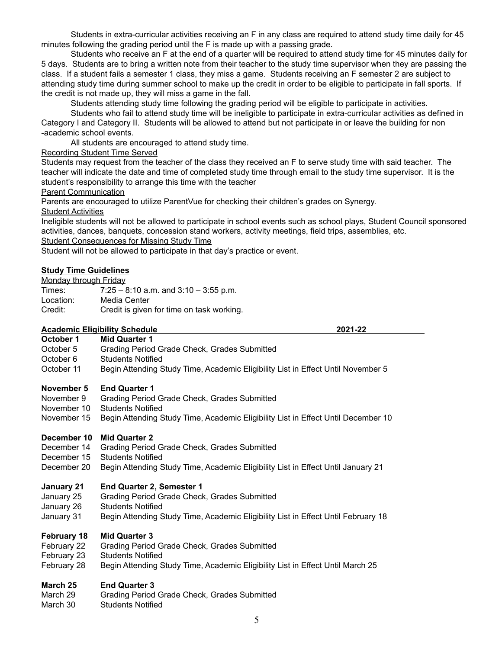Students in extra-curricular activities receiving an F in any class are required to attend study time daily for 45 minutes following the grading period until the F is made up with a passing grade.

Students who receive an F at the end of a quarter will be required to attend study time for 45 minutes daily for 5 days. Students are to bring a written note from their teacher to the study time supervisor when they are passing the class. If a student fails a semester 1 class, they miss a game. Students receiving an F semester 2 are subject to attending study time during summer school to make up the credit in order to be eligible to participate in fall sports. If the credit is not made up, they will miss a game in the fall.

Students attending study time following the grading period will be eligible to participate in activities.

Students who fail to attend study time will be ineligible to participate in extra-curricular activities as defined in Category I and Category II. Students will be allowed to attend but not participate in or leave the building for non -academic school events.

All students are encouraged to attend study time.

#### Recording Student Time Served

Students may request from the teacher of the class they received an F to serve study time with said teacher. The teacher will indicate the date and time of completed study time through email to the study time supervisor. It is the student's responsibility to arrange this time with the teacher

Parent Communication

Parents are encouraged to utilize ParentVue for checking their children's grades on Synergy.

**Student Activities** 

Ineligible students will not be allowed to participate in school events such as school plays, Student Council sponsored activities, dances, banquets, concession stand workers, activity meetings, field trips, assemblies, etc.

Student Consequences for Missing Study Time

Student will not be allowed to participate in that day's practice or event.

#### **Study Time Guidelines**

| Monday through Friday |                                           |
|-----------------------|-------------------------------------------|
| Times:                | $7:25 - 8:10$ a.m. and $3:10 - 3:55$ p.m. |
| Location:             | Media Center                              |

Credit: Credit is given for time on task working.

#### **Academic Eligibility Schedule 2021-22**

**October 1 Mid Quarter 1** October 5 Grading Period Grade Check, Grades Submitted October 6 Students Notified October 11 Begin Attending Study Time, Academic Eligibility List in Effect Until November 5

### **November 5 End Quarter 1**

- November 9 Grading Period Grade Check, Grades Submitted
- November 10 Students Notified
- November 15 Begin Attending Study Time, Academic Eligibility List in Effect Until December 10

#### **December 10 Mid Quarter 2**

- December 14 Grading Period Grade Check, Grades Submitted
- December 15 Students Notified
- December 20 Begin Attending Study Time, Academic Eligibility List in Effect Until January 21

#### **January 21 End Quarter 2, Semester 1**

- January 25 Grading Period Grade Check, Grades Submitted
- January 26 Students Notified
- January 31 Begin Attending Study Time, Academic Eligibility List in Effect Until February 18

#### **February 18 Mid Quarter 3**

- February 22 Grading Period Grade Check, Grades Submitted
- February 23 Students Notified
- February 28 Begin Attending Study Time, Academic Eligibility List in Effect Until March 25

#### **March 25 End Quarter 3**

- March 29 Grading Period Grade Check, Grades Submitted
- March 30 Students Notified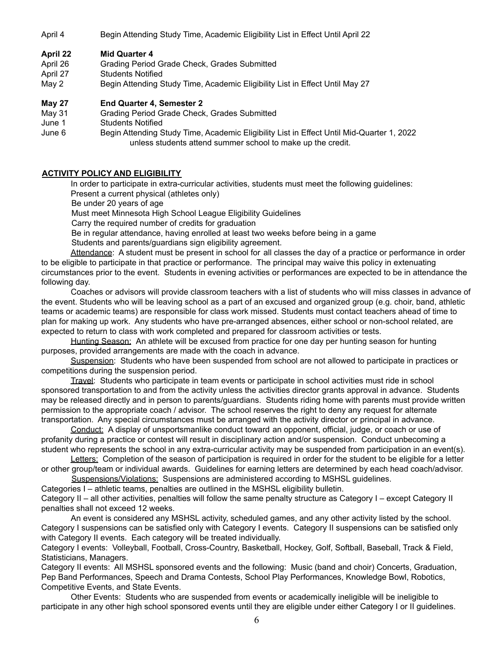April 4 Begin Attending Study Time, Academic Eligibility List in Effect Until April 22

#### **April 22 Mid Quarter 4**

- April 26 Grading Period Grade Check, Grades Submitted
- April 27 Students Notified
- May 2 Begin Attending Study Time, Academic Eligibility List in Effect Until May 27

#### **May 27 End Quarter 4, Semester 2**

- May 31 Grading Period Grade Check, Grades Submitted
- June 1 Students Notified
- June 6 Begin Attending Study Time, Academic Eligibility List in Effect Until Mid-Quarter 1, 2022 unless students attend summer school to make up the credit.

#### **ACTIVITY POLICY AND ELIGIBILITY**

In order to participate in extra-curricular activities, students must meet the following guidelines:

Present a current physical (athletes only)

Be under 20 years of age

Must meet Minnesota High School League Eligibility Guidelines

Carry the required number of credits for graduation

Be in regular attendance, having enrolled at least two weeks before being in a game

Students and parents/guardians sign eligibility agreement.

Attendance: A student must be present in school for all classes the day of a practice or performance in order to be eligible to participate in that practice or performance. The principal may waive this policy in extenuating circumstances prior to the event. Students in evening activities or performances are expected to be in attendance the following day.

Coaches or advisors will provide classroom teachers with a list of students who will miss classes in advance of the event. Students who will be leaving school as a part of an excused and organized group (e.g. choir, band, athletic teams or academic teams) are responsible for class work missed. Students must contact teachers ahead of time to plan for making up work. Any students who have pre-arranged absences, either school or non-school related, are expected to return to class with work completed and prepared for classroom activities or tests.

Hunting Season: An athlete will be excused from practice for one day per hunting season for hunting purposes, provided arrangements are made with the coach in advance.

Suspension: Students who have been suspended from school are not allowed to participate in practices or competitions during the suspension period.

Travel: Students who participate in team events or participate in school activities must ride in school sponsored transportation to and from the activity unless the activities director grants approval in advance. Students may be released directly and in person to parents/guardians. Students riding home with parents must provide written permission to the appropriate coach / advisor. The school reserves the right to deny any request for alternate transportation. Any special circumstances must be arranged with the activity director or principal in advance.

Conduct: A display of unsportsmanlike conduct toward an opponent, official, judge, or coach or use of profanity during a practice or contest will result in disciplinary action and/or suspension. Conduct unbecoming a student who represents the school in any extra-curricular activity may be suspended from participation in an event(s).

Letters: Completion of the season of participation is required in order for the student to be eligible for a letter or other group/team or individual awards. Guidelines for earning letters are determined by each head coach/advisor.

Suspensions/Violations: Suspensions are administered according to MSHSL guidelines.

Categories I – athletic teams, penalties are outlined in the MSHSL eligibility bulletin.

Category II – all other activities, penalties will follow the same penalty structure as Category I – except Category II penalties shall not exceed 12 weeks.

An event is considered any MSHSL activity, scheduled games, and any other activity listed by the school. Category I suspensions can be satisfied only with Category I events. Category II suspensions can be satisfied only with Category II events. Each category will be treated individually.

Category I events: Volleyball, Football, Cross-Country, Basketball, Hockey, Golf, Softball, Baseball, Track & Field, Statisticians, Managers.

Category II events: All MSHSL sponsored events and the following: Music (band and choir) Concerts, Graduation, Pep Band Performances, Speech and Drama Contests, School Play Performances, Knowledge Bowl, Robotics, Competitive Events, and State Events.

Other Events: Students who are suspended from events or academically ineligible will be ineligible to participate in any other high school sponsored events until they are eligible under either Category I or II guidelines.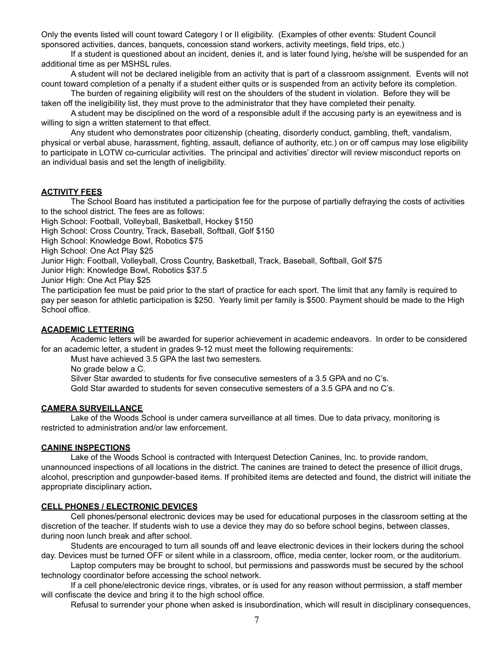Only the events listed will count toward Category I or II eligibility. (Examples of other events: Student Council sponsored activities, dances, banquets, concession stand workers, activity meetings, field trips, etc.)

If a student is questioned about an incident, denies it, and is later found lying, he/she will be suspended for an additional time as per MSHSL rules.

A student will not be declared ineligible from an activity that is part of a classroom assignment. Events will not count toward completion of a penalty if a student either quits or is suspended from an activity before its completion.

The burden of regaining eligibility will rest on the shoulders of the student in violation. Before they will be taken off the ineligibility list, they must prove to the administrator that they have completed their penalty.

A student may be disciplined on the word of a responsible adult if the accusing party is an eyewitness and is willing to sign a written statement to that effect.

Any student who demonstrates poor citizenship (cheating, disorderly conduct, gambling, theft, vandalism, physical or verbal abuse, harassment, fighting, assault, defiance of authority, etc.) on or off campus may lose eligibility to participate in LOTW co-curricular activities. The principal and activities' director will review misconduct reports on an individual basis and set the length of ineligibility.

#### **ACTIVITY FEES**

The School Board has instituted a participation fee for the purpose of partially defraying the costs of activities to the school district. The fees are as follows:

High School: Football, Volleyball, Basketball, Hockey \$150

High School: Cross Country, Track, Baseball, Softball, Golf \$150

High School: Knowledge Bowl, Robotics \$75

High School: One Act Play \$25

Junior High: Football, Volleyball, Cross Country, Basketball, Track, Baseball, Softball, Golf \$75

Junior High: Knowledge Bowl, Robotics \$37.5

Junior High: One Act Play \$25

The participation fee must be paid prior to the start of practice for each sport. The limit that any family is required to pay per season for athletic participation is \$250. Yearly limit per family is \$500. Payment should be made to the High School office.

#### **ACADEMIC LETTERING**

Academic letters will be awarded for superior achievement in academic endeavors. In order to be considered for an academic letter, a student in grades 9-12 must meet the following requirements:

Must have achieved 3.5 GPA the last two semesters.

No grade below a C.

Silver Star awarded to students for five consecutive semesters of a 3.5 GPA and no C's.

Gold Star awarded to students for seven consecutive semesters of a 3.5 GPA and no C's.

#### **CAMERA SURVEILLANCE**

Lake of the Woods School is under camera surveillance at all times. Due to data privacy, monitoring is restricted to administration and/or law enforcement.

#### **CANINE INSPECTIONS**

Lake of the Woods School is contracted with Interquest Detection Canines, Inc. to provide random, unannounced inspections of all locations in the district. The canines are trained to detect the presence of illicit drugs, alcohol, prescription and gunpowder-based items. If prohibited items are detected and found, the district will initiate the appropriate disciplinary action**.**

#### **CELL PHONES / ELECTRONIC DEVICES**

Cell phones/personal electronic devices may be used for educational purposes in the classroom setting at the discretion of the teacher. If students wish to use a device they may do so before school begins, between classes, during noon lunch break and after school.

Students are encouraged to turn all sounds off and leave electronic devices in their lockers during the school day. Devices must be turned OFF or silent while in a classroom, office, media center, locker room, or the auditorium.

Laptop computers may be brought to school, but permissions and passwords must be secured by the school technology coordinator before accessing the school network.

If a cell phone/electronic device rings, vibrates, or is used for any reason without permission, a staff member will confiscate the device and bring it to the high school office.

Refusal to surrender your phone when asked is insubordination, which will result in disciplinary consequences,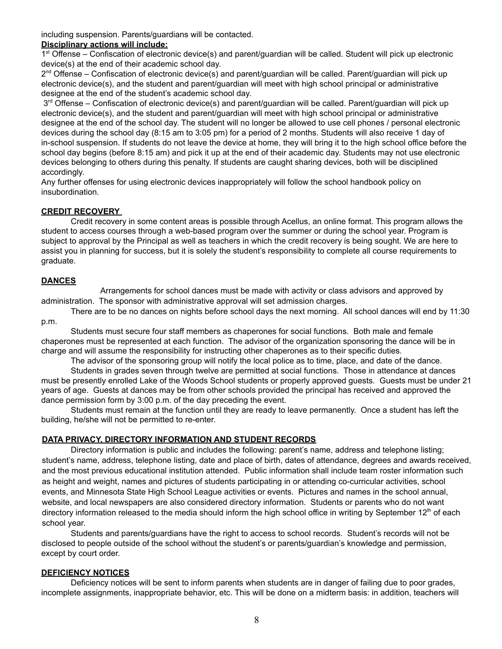including suspension. Parents/guardians will be contacted.

#### **Disciplinary actions will include:**

1<sup>st</sup> Offense – Confiscation of electronic device(s) and parent/guardian will be called. Student will pick up electronic device(s) at the end of their academic school day.

2<sup>nd</sup> Offense – Confiscation of electronic device(s) and parent/guardian will be called. Parent/guardian will pick up electronic device(s), and the student and parent/guardian will meet with high school principal or administrative designee at the end of the student's academic school day.

3<sup>rd</sup> Offense – Confiscation of electronic device(s) and parent/guardian will be called. Parent/guardian will pick up electronic device(s), and the student and parent/guardian will meet with high school principal or administrative designee at the end of the school day. The student will no longer be allowed to use cell phones / personal electronic devices during the school day (8:15 am to 3:05 pm) for a period of 2 months. Students will also receive 1 day of in-school suspension. If students do not leave the device at home, they will bring it to the high school office before the school day begins (before 8:15 am) and pick it up at the end of their academic day. Students may not use electronic devices belonging to others during this penalty. If students are caught sharing devices, both will be disciplined accordingly.

Any further offenses for using electronic devices inappropriately will follow the school handbook policy on insubordination.

#### **CREDIT RECOVERY**

Credit recovery in some content areas is possible through Acellus, an online format. This program allows the student to access courses through a web-based program over the summer or during the school year. Program is subject to approval by the Principal as well as teachers in which the credit recovery is being sought. We are here to assist you in planning for success, but it is solely the student's responsibility to complete all course requirements to graduate.

#### **DANCES**

Arrangements for school dances must be made with activity or class advisors and approved by administration. The sponsor with administrative approval will set admission charges.

There are to be no dances on nights before school days the next morning. All school dances will end by 11:30 p.m.

Students must secure four staff members as chaperones for social functions. Both male and female chaperones must be represented at each function. The advisor of the organization sponsoring the dance will be in charge and will assume the responsibility for instructing other chaperones as to their specific duties.

The advisor of the sponsoring group will notify the local police as to time, place, and date of the dance. Students in grades seven through twelve are permitted at social functions. Those in attendance at dances must be presently enrolled Lake of the Woods School students or properly approved guests. Guests must be under 21 years of age. Guests at dances may be from other schools provided the principal has received and approved the dance permission form by 3:00 p.m. of the day preceding the event.

Students must remain at the function until they are ready to leave permanently. Once a student has left the building, he/she will not be permitted to re-enter.

#### **DATA PRIVACY, DIRECTORY INFORMATION AND STUDENT RECORDS**

Directory information is public and includes the following: parent's name, address and telephone listing; student's name, address, telephone listing, date and place of birth, dates of attendance, degrees and awards received, and the most previous educational institution attended. Public information shall include team roster information such as height and weight, names and pictures of students participating in or attending co-curricular activities, school events, and Minnesota State High School League activities or events. Pictures and names in the school annual, website, and local newspapers are also considered directory information. Students or parents who do not want directory information released to the media should inform the high school office in writing by September 12<sup>th</sup> of each school year.

Students and parents/guardians have the right to access to school records. Student's records will not be disclosed to people outside of the school without the student's or parents/guardian's knowledge and permission, except by court order.

#### **DEFICIENCY NOTICES**

Deficiency notices will be sent to inform parents when students are in danger of failing due to poor grades, incomplete assignments, inappropriate behavior, etc. This will be done on a midterm basis: in addition, teachers will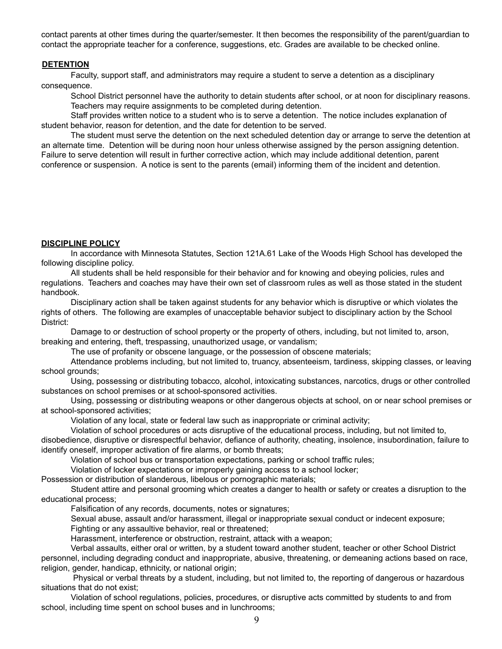contact parents at other times during the quarter/semester. It then becomes the responsibility of the parent/guardian to contact the appropriate teacher for a conference, suggestions, etc. Grades are available to be checked online.

#### **DETENTION**

Faculty, support staff, and administrators may require a student to serve a detention as a disciplinary consequence.

School District personnel have the authority to detain students after school, or at noon for disciplinary reasons. Teachers may require assignments to be completed during detention.

Staff provides written notice to a student who is to serve a detention. The notice includes explanation of student behavior, reason for detention, and the date for detention to be served.

The student must serve the detention on the next scheduled detention day or arrange to serve the detention at an alternate time. Detention will be during noon hour unless otherwise assigned by the person assigning detention. Failure to serve detention will result in further corrective action, which may include additional detention, parent conference or suspension. A notice is sent to the parents (email) informing them of the incident and detention.

#### **DISCIPLINE POLICY**

In accordance with Minnesota Statutes, Section 121A.61 Lake of the Woods High School has developed the following discipline policy.

All students shall be held responsible for their behavior and for knowing and obeying policies, rules and regulations. Teachers and coaches may have their own set of classroom rules as well as those stated in the student handbook.

Disciplinary action shall be taken against students for any behavior which is disruptive or which violates the rights of others. The following are examples of unacceptable behavior subject to disciplinary action by the School District:

Damage to or destruction of school property or the property of others, including, but not limited to, arson, breaking and entering, theft, trespassing, unauthorized usage, or vandalism;

The use of profanity or obscene language, or the possession of obscene materials;

Attendance problems including, but not limited to, truancy, absenteeism, tardiness, skipping classes, or leaving school grounds;

Using, possessing or distributing tobacco, alcohol, intoxicating substances, narcotics, drugs or other controlled substances on school premises or at school-sponsored activities.

Using, possessing or distributing weapons or other dangerous objects at school, on or near school premises or at school-sponsored activities;

Violation of any local, state or federal law such as inappropriate or criminal activity;

Violation of school procedures or acts disruptive of the educational process, including, but not limited to,

disobedience, disruptive or disrespectful behavior, defiance of authority, cheating, insolence, insubordination, failure to identify oneself, improper activation of fire alarms, or bomb threats;

Violation of school bus or transportation expectations, parking or school traffic rules;

Violation of locker expectations or improperly gaining access to a school locker;

Possession or distribution of slanderous, libelous or pornographic materials;

Student attire and personal grooming which creates a danger to health or safety or creates a disruption to the educational process;

Falsification of any records, documents, notes or signatures;

Sexual abuse, assault and/or harassment, illegal or inappropriate sexual conduct or indecent exposure;

Fighting or any assaultive behavior, real or threatened;

Harassment, interference or obstruction, restraint, attack with a weapon;

Verbal assaults, either oral or written, by a student toward another student, teacher or other School District

personnel, including degrading conduct and inappropriate, abusive, threatening, or demeaning actions based on race, religion, gender, handicap, ethnicity, or national origin;

Physical or verbal threats by a student, including, but not limited to, the reporting of dangerous or hazardous situations that do not exist;

Violation of school regulations, policies, procedures, or disruptive acts committed by students to and from school, including time spent on school buses and in lunchrooms;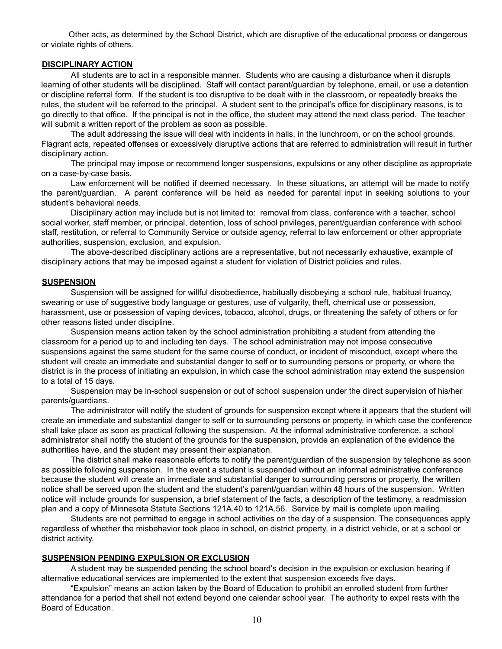Other acts, as determined by the School District, which are disruptive of the educational process or dangerous or violate rights of others.

#### **DISCIPLINARY ACTION**

All students are to act in a responsible manner. Students who are causing a disturbance when it disrupts learning of other students will be disciplined. Staff will contact parent/guardian by telephone, email, or use a detention or discipline referral form. If the student is too disruptive to be dealt with in the classroom, or repeatedly breaks the rules, the student will be referred to the principal. A student sent to the principal's office for disciplinary reasons, is to go directly to that office. If the principal is not in the office, the student may attend the next class period. The teacher will submit a written report of the problem as soon as possible.

The adult addressing the issue will deal with incidents in halls, in the lunchroom, or on the school grounds. Flagrant acts, repeated offenses or excessively disruptive actions that are referred to administration will result in further disciplinary action.

The principal may impose or recommend longer suspensions, expulsions or any other discipline as appropriate on a case-by-case basis.

Law enforcement will be notified if deemed necessary. In these situations, an attempt will be made to notify the parent/guardian. A parent conference will be held as needed for parental input in seeking solutions to your student's behavioral needs.

Disciplinary action may include but is not limited to: removal from class, conference with a teacher, school social worker, staff member, or principal, detention, loss of school privileges, parent/guardian conference with school staff, restitution, or referral to Community Service or outside agency, referral to law enforcement or other appropriate authorities, suspension, exclusion, and expulsion.

The above-described disciplinary actions are a representative, but not necessarily exhaustive, example of disciplinary actions that may be imposed against a student for violation of District policies and rules.

#### **SUSPENSION**

Suspension will be assigned for willful disobedience, habitually disobeying a school rule, habitual truancy, swearing or use of suggestive body language or gestures, use of vulgarity, theft, chemical use or possession, harassment, use or possession of vaping devices, tobacco, alcohol, drugs, or threatening the safety of others or for other reasons listed under discipline.

Suspension means action taken by the school administration prohibiting a student from attending the classroom for a period up to and including ten days. The school administration may not impose consecutive suspensions against the same student for the same course of conduct, or incident of misconduct, except where the student will create an immediate and substantial danger to self or to surrounding persons or property, or where the district is in the process of initiating an expulsion, in which case the school administration may extend the suspension to a total of 15 days.

Suspension may be in-school suspension or out of school suspension under the direct supervision of his/her parents/guardians.

The administrator will notify the student of grounds for suspension except where it appears that the student will create an immediate and substantial danger to self or to surrounding persons or property, in which case the conference shall take place as soon as practical following the suspension. At the informal administrative conference, a school administrator shall notify the student of the grounds for the suspension, provide an explanation of the evidence the authorities have, and the student may present their explanation.

The district shall make reasonable efforts to notify the parent/guardian of the suspension by telephone as soon as possible following suspension. In the event a student is suspended without an informal administrative conference because the student will create an immediate and substantial danger to surrounding persons or property, the written notice shall be served upon the student and the student's parent/guardian within 48 hours of the suspension. Written notice will include grounds for suspension, a brief statement of the facts, a description of the testimony, a readmission plan and a copy of Minnesota Statute Sections 121A.40 to 121A.56. Service by mail is complete upon mailing.

Students are not permitted to engage in school activities on the day of a suspension. The consequences apply regardless of whether the misbehavior took place in school, on district property, in a district vehicle, or at a school or district activity.

#### **SUSPENSION PENDING EXPULSION OR EXCLUSION**

A student may be suspended pending the school board's decision in the expulsion or exclusion hearing if alternative educational services are implemented to the extent that suspension exceeds five days.

"Expulsion" means an action taken by the Board of Education to prohibit an enrolled student from further attendance for a period that shall not extend beyond one calendar school year. The authority to expel rests with the Board of Education.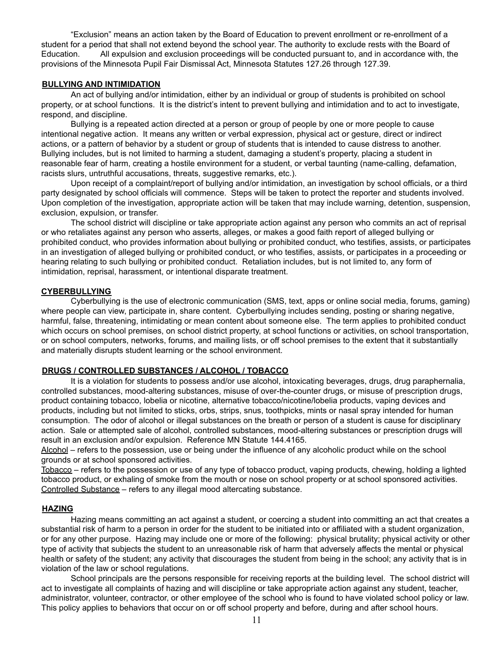"Exclusion" means an action taken by the Board of Education to prevent enrollment or re-enrollment of a student for a period that shall not extend beyond the school year. The authority to exclude rests with the Board of Education. All expulsion and exclusion proceedings will be conducted pursuant to, and in accordance with, the provisions of the Minnesota Pupil Fair Dismissal Act, Minnesota Statutes 127.26 through 127.39.

#### **BULLYING AND INTIMIDATION**

An act of bullying and/or intimidation, either by an individual or group of students is prohibited on school property, or at school functions. It is the district's intent to prevent bullying and intimidation and to act to investigate, respond, and discipline.

Bullying is a repeated action directed at a person or group of people by one or more people to cause intentional negative action. It means any written or verbal expression, physical act or gesture, direct or indirect actions, or a pattern of behavior by a student or group of students that is intended to cause distress to another. Bullying includes, but is not limited to harming a student, damaging a student's property, placing a student in reasonable fear of harm, creating a hostile environment for a student, or verbal taunting (name-calling, defamation, racists slurs, untruthful accusations, threats, suggestive remarks, etc.).

Upon receipt of a complaint/report of bullying and/or intimidation, an investigation by school officials, or a third party designated by school officials will commence. Steps will be taken to protect the reporter and students involved. Upon completion of the investigation, appropriate action will be taken that may include warning, detention, suspension, exclusion, expulsion, or transfer.

The school district will discipline or take appropriate action against any person who commits an act of reprisal or who retaliates against any person who asserts, alleges, or makes a good faith report of alleged bullying or prohibited conduct, who provides information about bullying or prohibited conduct, who testifies, assists, or participates in an investigation of alleged bullying or prohibited conduct, or who testifies, assists, or participates in a proceeding or hearing relating to such bullying or prohibited conduct. Retaliation includes, but is not limited to, any form of intimidation, reprisal, harassment, or intentional disparate treatment.

#### **CYBERBULLYING**

Cyberbullying is the use of electronic communication (SMS, text, apps or online social media, forums, gaming) where people can view, participate in, share content. Cyberbullying includes sending, posting or sharing negative, harmful, false, threatening, intimidating or mean content about someone else. The term applies to prohibited conduct which occurs on school premises, on school district property, at school functions or activities, on school transportation, or on school computers, networks, forums, and mailing lists, or off school premises to the extent that it substantially and materially disrupts student learning or the school environment.

#### **DRUGS / CONTROLLED SUBSTANCES / ALCOHOL / TOBACCO**

It is a violation for students to possess and/or use alcohol, intoxicating beverages, drugs, drug paraphernalia, controlled substances, mood-altering substances, misuse of over-the-counter drugs, or misuse of prescription drugs, product containing tobacco, lobelia or nicotine, alternative tobacco/nicotine/lobelia products, vaping devices and products, including but not limited to sticks, orbs, strips, snus, toothpicks, mints or nasal spray intended for human consumption. The odor of alcohol or illegal substances on the breath or person of a student is cause for disciplinary action. Sale or attempted sale of alcohol, controlled substances, mood-altering substances or prescription drugs will result in an exclusion and/or expulsion. Reference MN Statute 144.4165.

Alcohol – refers to the possession, use or being under the influence of any alcoholic product while on the school grounds or at school sponsored activities.

Tobacco – refers to the possession or use of any type of tobacco product, vaping products, chewing, holding a lighted tobacco product, or exhaling of smoke from the mouth or nose on school property or at school sponsored activities. Controlled Substance – refers to any illegal mood altercating substance.

#### **HAZING**

Hazing means committing an act against a student, or coercing a student into committing an act that creates a substantial risk of harm to a person in order for the student to be initiated into or affiliated with a student organization, or for any other purpose. Hazing may include one or more of the following: physical brutality; physical activity or other type of activity that subjects the student to an unreasonable risk of harm that adversely affects the mental or physical health or safety of the student; any activity that discourages the student from being in the school; any activity that is in violation of the law or school regulations.

School principals are the persons responsible for receiving reports at the building level. The school district will act to investigate all complaints of hazing and will discipline or take appropriate action against any student, teacher, administrator, volunteer, contractor, or other employee of the school who is found to have violated school policy or law. This policy applies to behaviors that occur on or off school property and before, during and after school hours.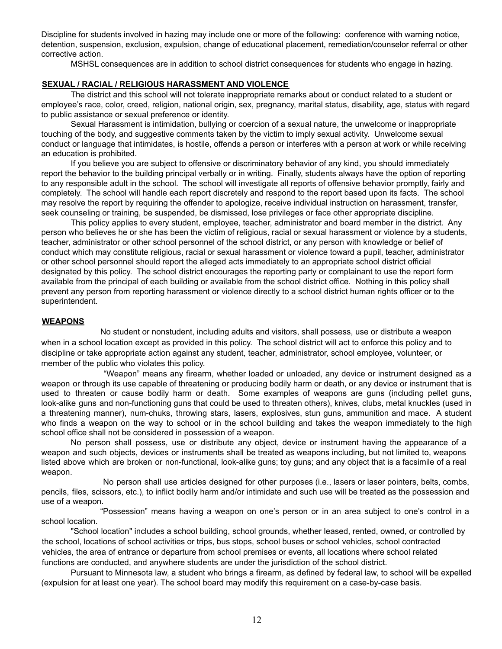Discipline for students involved in hazing may include one or more of the following: conference with warning notice, detention, suspension, exclusion, expulsion, change of educational placement, remediation/counselor referral or other corrective action.

MSHSL consequences are in addition to school district consequences for students who engage in hazing.

#### **SEXUAL / RACIAL / RELIGIOUS HARASSMENT AND VIOLENCE**

The district and this school will not tolerate inappropriate remarks about or conduct related to a student or employee's race, color, creed, religion, national origin, sex, pregnancy, marital status, disability, age, status with regard to public assistance or sexual preference or identity.

Sexual Harassment is intimidation, bullying or coercion of a sexual nature, the unwelcome or inappropriate touching of the body, and suggestive comments taken by the victim to imply sexual activity. Unwelcome sexual conduct or language that intimidates, is hostile, offends a person or interferes with a person at work or while receiving an education is prohibited.

If you believe you are subject to offensive or discriminatory behavior of any kind, you should immediately report the behavior to the building principal verbally or in writing. Finally, students always have the option of reporting to any responsible adult in the school. The school will investigate all reports of offensive behavior promptly, fairly and completely. The school will handle each report discretely and respond to the report based upon its facts. The school may resolve the report by requiring the offender to apologize, receive individual instruction on harassment, transfer, seek counseling or training, be suspended, be dismissed, lose privileges or face other appropriate discipline.

This policy applies to every student, employee, teacher, administrator and board member in the district. Any person who believes he or she has been the victim of religious, racial or sexual harassment or violence by a students, teacher, administrator or other school personnel of the school district, or any person with knowledge or belief of conduct which may constitute religious, racial or sexual harassment or violence toward a pupil, teacher, administrator or other school personnel should report the alleged acts immediately to an appropriate school district official designated by this policy. The school district encourages the reporting party or complainant to use the report form available from the principal of each building or available from the school district office. Nothing in this policy shall prevent any person from reporting harassment or violence directly to a school district human rights officer or to the superintendent.

#### **WEAPONS**

No student or nonstudent, including adults and visitors, shall possess, use or distribute a weapon when in a school location except as provided in this policy. The school district will act to enforce this policy and to discipline or take appropriate action against any student, teacher, administrator, school employee, volunteer, or member of the public who violates this policy.

"Weapon" means any firearm, whether loaded or unloaded, any device or instrument designed as a weapon or through its use capable of threatening or producing bodily harm or death, or any device or instrument that is used to threaten or cause bodily harm or death. Some examples of weapons are guns (including pellet guns, look-alike guns and non-functioning guns that could be used to threaten others), knives, clubs, metal knuckles (used in a threatening manner), num-chuks, throwing stars, lasers, explosives, stun guns, ammunition and mace. A student who finds a weapon on the way to school or in the school building and takes the weapon immediately to the high school office shall not be considered in possession of a weapon.

No person shall possess, use or distribute any object, device or instrument having the appearance of a weapon and such objects, devices or instruments shall be treated as weapons including, but not limited to, weapons listed above which are broken or non-functional, look-alike guns; toy guns; and any object that is a facsimile of a real weapon.

No person shall use articles designed for other purposes (i.e., lasers or laser pointers, belts, combs, pencils, files, scissors, etc.), to inflict bodily harm and/or intimidate and such use will be treated as the possession and use of a weapon.

"Possession" means having a weapon on one's person or in an area subject to one's control in a school location.

"School location" includes a school building, school grounds, whether leased, rented, owned, or controlled by the school, locations of school activities or trips, bus stops, school buses or school vehicles, school contracted vehicles, the area of entrance or departure from school premises or events, all locations where school related functions are conducted, and anywhere students are under the jurisdiction of the school district.

Pursuant to Minnesota law, a student who brings a firearm, as defined by federal law, to school will be expelled (expulsion for at least one year). The school board may modify this requirement on a case-by-case basis.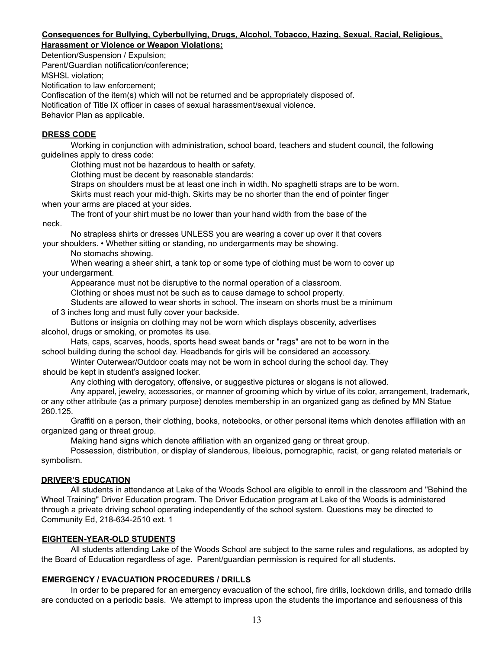#### **Consequences for Bullying, Cyberbullying, Drugs, Alcohol, Tobacco, Hazing, Sexual, Racial, Religious, Harassment or Violence or Weapon Violations:**

Detention/Suspension / Expulsion;

Parent/Guardian notification/conference;

MSHSL violation;

Notification to law enforcement;

Confiscation of the item(s) which will not be returned and be appropriately disposed of.

Notification of Title IX officer in cases of sexual harassment/sexual violence.

Behavior Plan as applicable.

#### **DRESS CODE**

Working in conjunction with administration, school board, teachers and student council, the following guidelines apply to dress code:

Clothing must not be hazardous to health or safety.

Clothing must be decent by reasonable standards:

Straps on shoulders must be at least one inch in width. No spaghetti straps are to be worn.

Skirts must reach your mid-thigh. Skirts may be no shorter than the end of pointer finger when your arms are placed at your sides.

The front of your shirt must be no lower than your hand width from the base of the

neck.

No strapless shirts or dresses UNLESS you are wearing a cover up over it that covers your shoulders. • Whether sitting or standing, no undergarments may be showing.

No stomachs showing.

When wearing a sheer shirt, a tank top or some type of clothing must be worn to cover up your undergarment.

Appearance must not be disruptive to the normal operation of a classroom.

Clothing or shoes must not be such as to cause damage to school property.

Students are allowed to wear shorts in school. The inseam on shorts must be a minimum of 3 inches long and must fully cover your backside.

Buttons or insignia on clothing may not be worn which displays obscenity, advertises alcohol, drugs or smoking, or promotes its use.

Hats, caps, scarves, hoods, sports head sweat bands or "rags" are not to be worn in the school building during the school day. Headbands for girls will be considered an accessory.

Winter Outerwear/Outdoor coats may not be worn in school during the school day. They should be kept in student's assigned locker.

Any clothing with derogatory, offensive, or suggestive pictures or slogans is not allowed.

Any apparel, jewelry, accessories, or manner of grooming which by virtue of its color, arrangement, trademark, or any other attribute (as a primary purpose) denotes membership in an organized gang as defined by MN Statue 260.125.

Graffiti on a person, their clothing, books, notebooks, or other personal items which denotes affiliation with an organized gang or threat group.

Making hand signs which denote affiliation with an organized gang or threat group.

Possession, distribution, or display of slanderous, libelous, pornographic, racist, or gang related materials or symbolism.

#### **DRIVER'S EDUCATION**

All students in attendance at Lake of the Woods School are eligible to enroll in the classroom and "Behind the Wheel Training" Driver Education program. The Driver Education program at Lake of the Woods is administered through a private driving school operating independently of the school system. Questions may be directed to Community Ed, 218-634-2510 ext. 1

#### **EIGHTEEN-YEAR-OLD STUDENTS**

All students attending Lake of the Woods School are subject to the same rules and regulations, as adopted by the Board of Education regardless of age. Parent/guardian permission is required for all students.

#### **EMERGENCY / EVACUATION PROCEDURES / DRILLS**

In order to be prepared for an emergency evacuation of the school, fire drills, lockdown drills, and tornado drills are conducted on a periodic basis. We attempt to impress upon the students the importance and seriousness of this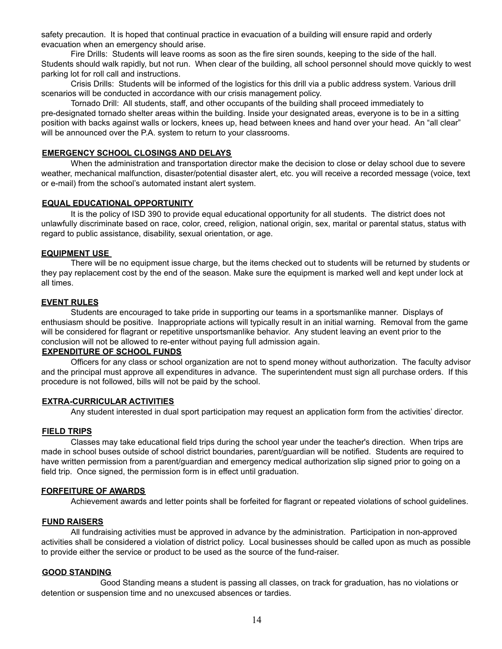safety precaution. It is hoped that continual practice in evacuation of a building will ensure rapid and orderly evacuation when an emergency should arise.

Fire Drills: Students will leave rooms as soon as the fire siren sounds, keeping to the side of the hall. Students should walk rapidly, but not run. When clear of the building, all school personnel should move quickly to west parking lot for roll call and instructions.

Crisis Drills: Students will be informed of the logistics for this drill via a public address system. Various drill scenarios will be conducted in accordance with our crisis management policy.

Tornado Drill: All students, staff, and other occupants of the building shall proceed immediately to pre-designated tornado shelter areas within the building. Inside your designated areas, everyone is to be in a sitting position with backs against walls or lockers, knees up, head between knees and hand over your head. An "all clear" will be announced over the P.A. system to return to your classrooms.

#### **EMERGENCY SCHOOL CLOSINGS AND DELAYS**

When the administration and transportation director make the decision to close or delay school due to severe weather, mechanical malfunction, disaster/potential disaster alert, etc. you will receive a recorded message (voice, text or e-mail) from the school's automated instant alert system.

#### **EQUAL EDUCATIONAL OPPORTUNITY**

It is the policy of ISD 390 to provide equal educational opportunity for all students. The district does not unlawfully discriminate based on race, color, creed, religion, national origin, sex, marital or parental status, status with regard to public assistance, disability, sexual orientation, or age.

#### **EQUIPMENT USE**

There will be no equipment issue charge, but the items checked out to students will be returned by students or they pay replacement cost by the end of the season. Make sure the equipment is marked well and kept under lock at all times.

### **EVENT RULES**

Students are encouraged to take pride in supporting our teams in a sportsmanlike manner. Displays of enthusiasm should be positive. Inappropriate actions will typically result in an initial warning. Removal from the game will be considered for flagrant or repetitive unsportsmanlike behavior. Any student leaving an event prior to the conclusion will not be allowed to re-enter without paying full admission again.

### **EXPENDITURE OF SCHOOL FUNDS**

Officers for any class or school organization are not to spend money without authorization. The faculty advisor and the principal must approve all expenditures in advance. The superintendent must sign all purchase orders. If this procedure is not followed, bills will not be paid by the school.

#### **EXTRA-CURRICULAR ACTIVITIES**

Any student interested in dual sport participation may request an application form from the activities' director.

#### **FIELD TRIPS**

Classes may take educational field trips during the school year under the teacher's direction. When trips are made in school buses outside of school district boundaries, parent/guardian will be notified. Students are required to have written permission from a parent/guardian and emergency medical authorization slip signed prior to going on a field trip. Once signed, the permission form is in effect until graduation.

#### **FORFEITURE OF AWARDS**

Achievement awards and letter points shall be forfeited for flagrant or repeated violations of school guidelines.

#### **FUND RAISERS**

All fundraising activities must be approved in advance by the administration. Participation in non-approved activities shall be considered a violation of district policy. Local businesses should be called upon as much as possible to provide either the service or product to be used as the source of the fund-raiser.

#### **GOOD STANDING**

Good Standing means a student is passing all classes, on track for graduation, has no violations or detention or suspension time and no unexcused absences or tardies.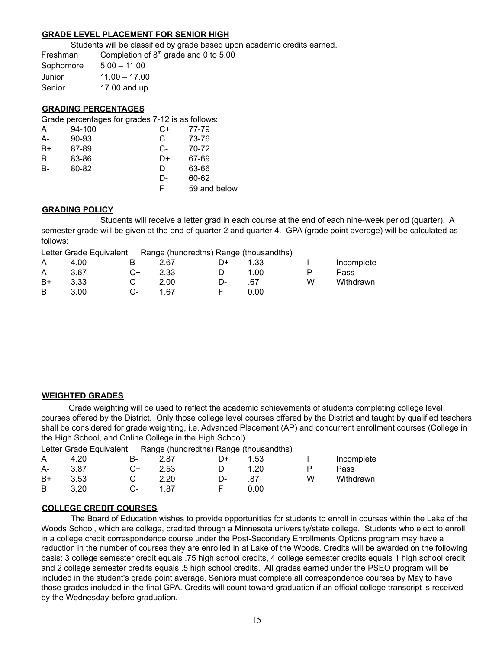#### **GRADE LEVEL PLACEMENT FOR SENIOR HIGH**

Students will be classified by grade based upon academic credits earned.

Freshman Completion of  $8<sup>th</sup>$  grade and 0 to 5.00 Sophomore 5.00 – 11.00  $J_{\text{unior}}$  11.00 – 17.00

| Junior | $11.00 - 17.00$ |
|--------|-----------------|
| Senior | 17.00 and up    |

#### **GRADING PERCENTAGES**

Grade percentages for grades 7-12 is as follows:

| A    | 94-100 | C+ | 77-79        |
|------|--------|----|--------------|
| А-   | 90-93  | C  | 73-76        |
| $B+$ | 87-89  | C- | 70-72        |
| B    | 83-86  | D+ | 67-69        |
| B-   | 80-82  | D  | 63-66        |
|      |        | D- | 60-62        |
|      |        | F  | 59 and below |
|      |        |    |              |

#### **GRADING POLICY**

Students will receive a letter grad in each course at the end of each nine-week period (quarter). A semester grade will be given at the end of quarter 2 and quarter 4. GPA (grade point average) will be calculated as follows:

| Letter Grade Equivalent | Range (hundredths) Range (thousandths) |
|-------------------------|----------------------------------------|
|-------------------------|----------------------------------------|

| A.   | 4.00 | B-            | 2.67 | D+           | 1.33 |   | Incomplete |
|------|------|---------------|------|--------------|------|---|------------|
| A-   | 3.67 | $C++$         | 2.33 | $\Box$       | 1.00 | P | Pass       |
| $B+$ | 3.33 | $\mathcal{C}$ | 2.00 | $\mathsf{L}$ | .67  | W | Withdrawn  |
| B.   | 3.00 | $C-$          | 1.67 | $-$ F $-$    | 0.00 |   |            |

#### **WEIGHTED GRADES**

Grade weighting will be used to reflect the academic achievements of students completing college level courses offered by the District. Only those college level courses offered by the District and taught by qualified teachers shall be considered for grade weighting, i.e. Advanced Placement (AP) and concurrent enrollment courses (College in the High School, and Online College in the High School).

|    | Letter Grade Equivalent Range (hundredths) Range (thousandths) |    |      |    |      |   |            |
|----|----------------------------------------------------------------|----|------|----|------|---|------------|
| A  | 4.20                                                           | B- | 2.87 | D+ | 1.53 |   | Incomplete |
| А- | 3.87                                                           | C+ | 2.53 |    | 1.20 | P | Pass       |
| B+ | 3.53                                                           |    | 2.20 | D- | .87  | W | Withdrawn  |
| B  | 3.20                                                           | C- | 1.87 |    | 0.00 |   |            |

#### **COLLEGE CREDIT COURSES**

The Board of Education wishes to provide opportunities for students to enroll in courses within the Lake of the Woods School, which are college, credited through a Minnesota university/state college. Students who elect to enroll in a college credit correspondence course under the Post-Secondary Enrollments Options program may have a reduction in the number of courses they are enrolled in at Lake of the Woods. Credits will be awarded on the following basis: 3 college semester credit equals .75 high school credits, 4 college semester credits equals 1 high school credit and 2 college semester credits equals .5 high school credits. All grades earned under the PSEO program will be included in the student's grade point average. Seniors must complete all correspondence courses by May to have those grades included in the final GPA. Credits will count toward graduation if an official college transcript is received by the Wednesday before graduation.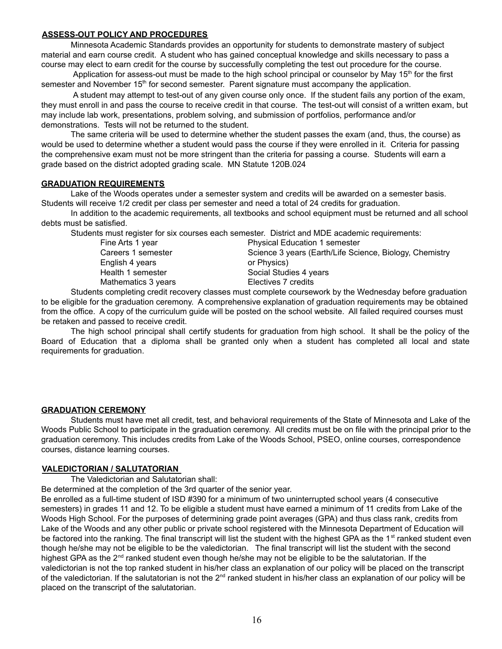#### **ASSESS-OUT POLICY AND PROCEDURES**

Minnesota Academic Standards provides an opportunity for students to demonstrate mastery of subject material and earn course credit. A student who has gained conceptual knowledge and skills necessary to pass a course may elect to earn credit for the course by successfully completing the test out procedure for the course.

Application for assess-out must be made to the high school principal or counselor by May 15<sup>th</sup> for the first semester and November 15<sup>th</sup> for second semester. Parent signature must accompany the application.

A student may attempt to test-out of any given course only once. If the student fails any portion of the exam, they must enroll in and pass the course to receive credit in that course. The test-out will consist of a written exam, but may include lab work, presentations, problem solving, and submission of portfolios, performance and/or demonstrations. Tests will not be returned to the student.

The same criteria will be used to determine whether the student passes the exam (and, thus, the course) as would be used to determine whether a student would pass the course if they were enrolled in it. Criteria for passing the comprehensive exam must not be more stringent than the criteria for passing a course. Students will earn a grade based on the district adopted grading scale. MN Statute 120B.024

#### **GRADUATION REQUIREMENTS**

Lake of the Woods operates under a semester system and credits will be awarded on a semester basis. Students will receive 1/2 credit per class per semester and need a total of 24 credits for graduation.

In addition to the academic requirements, all textbooks and school equipment must be returned and all school debts must be satisfied.

Students must register for six courses each semester. District and MDE academic requirements:

| Fine Arts 1 year    | <b>Physical Education 1 semester</b>                    |  |
|---------------------|---------------------------------------------------------|--|
| Careers 1 semester  | Science 3 years (Earth/Life Science, Biology, Chemistry |  |
| English 4 years     | or Physics)                                             |  |
| Health 1 semester   | Social Studies 4 years                                  |  |
| Mathematics 3 years | Electives 7 credits                                     |  |
|                     |                                                         |  |

Students completing credit recovery classes must complete coursework by the Wednesday before graduation to be eligible for the graduation ceremony. A comprehensive explanation of graduation requirements may be obtained from the office. A copy of the curriculum guide will be posted on the school website. All failed required courses must be retaken and passed to receive credit.

The high school principal shall certify students for graduation from high school. It shall be the policy of the Board of Education that a diploma shall be granted only when a student has completed all local and state requirements for graduation.

#### **GRADUATION CEREMONY**

Students must have met all credit, test, and behavioral requirements of the State of Minnesota and Lake of the Woods Public School to participate in the graduation ceremony. All credits must be on file with the principal prior to the graduation ceremony. This includes credits from Lake of the Woods School, PSEO, online courses, correspondence courses, distance learning courses.

#### **VALEDICTORIAN / SALUTATORIAN**

The Valedictorian and Salutatorian shall:

Be determined at the completion of the 3rd quarter of the senior year.

Be enrolled as a full-time student of ISD #390 for a minimum of two uninterrupted school years (4 consecutive semesters) in grades 11 and 12. To be eligible a student must have earned a minimum of 11 credits from Lake of the Woods High School. For the purposes of determining grade point averages (GPA) and thus class rank, credits from Lake of the Woods and any other public or private school registered with the Minnesota Department of Education will be factored into the ranking. The final transcript will list the student with the highest GPA as the 1<sup>st</sup> ranked student even though he/she may not be eligible to be the valedictorian. The final transcript will list the student with the second highest GPA as the 2<sup>nd</sup> ranked student even though he/she may not be eligible to be the salutatorian. If the valedictorian is not the top ranked student in his/her class an explanation of our policy will be placed on the transcript of the valedictorian. If the salutatorian is not the 2<sup>nd</sup> ranked student in his/her class an explanation of our policy will be placed on the transcript of the salutatorian.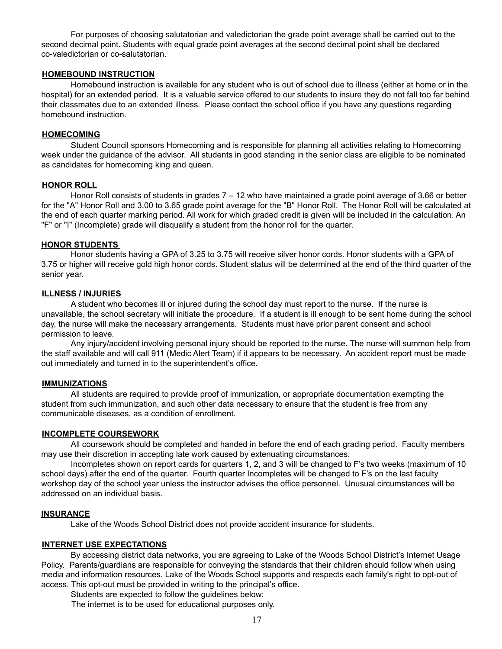For purposes of choosing salutatorian and valedictorian the grade point average shall be carried out to the second decimal point. Students with equal grade point averages at the second decimal point shall be declared co-valedictorian or co-salutatorian.

#### **HOMEBOUND INSTRUCTION**

Homebound instruction is available for any student who is out of school due to illness (either at home or in the hospital) for an extended period. It is a valuable service offered to our students to insure they do not fall too far behind their classmates due to an extended illness. Please contact the school office if you have any questions regarding homebound instruction.

#### **HOMECOMING**

Student Council sponsors Homecoming and is responsible for planning all activities relating to Homecoming week under the guidance of the advisor. All students in good standing in the senior class are eligible to be nominated as candidates for homecoming king and queen.

#### **HONOR ROLL**

Honor Roll consists of students in grades 7 – 12 who have maintained a grade point average of 3.66 or better for the "A" Honor Roll and 3.00 to 3.65 grade point average for the "B" Honor Roll. The Honor Roll will be calculated at the end of each quarter marking period. All work for which graded credit is given will be included in the calculation. An "F" or "I" (Incomplete) grade will disqualify a student from the honor roll for the quarter.

#### **HONOR STUDENTS**

Honor students having a GPA of 3.25 to 3.75 will receive silver honor cords. Honor students with a GPA of 3.75 or higher will receive gold high honor cords. Student status will be determined at the end of the third quarter of the senior year.

#### **ILLNESS / INJURIES**

A student who becomes ill or injured during the school day must report to the nurse. If the nurse is unavailable, the school secretary will initiate the procedure. If a student is ill enough to be sent home during the school day, the nurse will make the necessary arrangements. Students must have prior parent consent and school permission to leave.

Any injury/accident involving personal injury should be reported to the nurse. The nurse will summon help from the staff available and will call 911 (Medic Alert Team) if it appears to be necessary. An accident report must be made out immediately and turned in to the superintendent's office.

#### **IMMUNIZATIONS**

All students are required to provide proof of immunization, or appropriate documentation exempting the student from such immunization, and such other data necessary to ensure that the student is free from any communicable diseases, as a condition of enrollment.

#### **INCOMPLETE COURSEWORK**

All coursework should be completed and handed in before the end of each grading period. Faculty members may use their discretion in accepting late work caused by extenuating circumstances.

Incompletes shown on report cards for quarters 1, 2, and 3 will be changed to F's two weeks (maximum of 10 school days) after the end of the quarter. Fourth quarter Incompletes will be changed to F's on the last faculty workshop day of the school year unless the instructor advises the office personnel. Unusual circumstances will be addressed on an individual basis.

#### **INSURANCE**

Lake of the Woods School District does not provide accident insurance for students.

#### **INTERNET USE EXPECTATIONS**

By accessing district data networks, you are agreeing to Lake of the Woods School District's Internet Usage Policy. Parents/guardians are responsible for conveying the standards that their children should follow when using media and information resources. Lake of the Woods School supports and respects each family's right to opt-out of access. This opt-out must be provided in writing to the principal's office.

Students are expected to follow the guidelines below:

The internet is to be used for educational purposes only.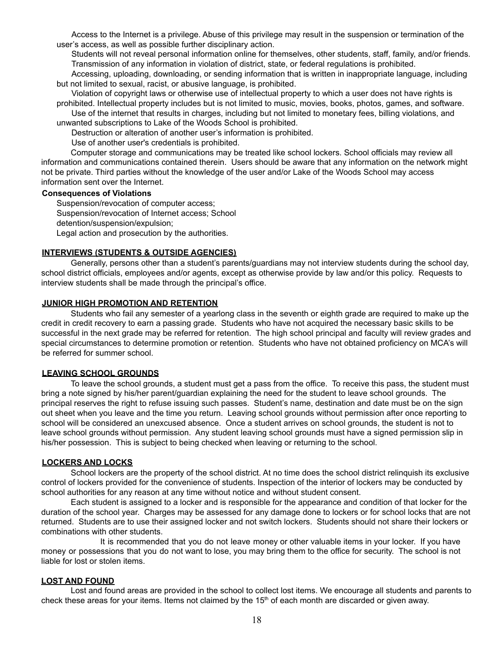Access to the Internet is a privilege. Abuse of this privilege may result in the suspension or termination of the user's access, as well as possible further disciplinary action.

Students will not reveal personal information online for themselves, other students, staff, family, and/or friends. Transmission of any information in violation of district, state, or federal regulations is prohibited.

Accessing, uploading, downloading, or sending information that is written in inappropriate language, including but not limited to sexual, racist, or abusive language, is prohibited.

Violation of copyright laws or otherwise use of intellectual property to which a user does not have rights is prohibited. Intellectual property includes but is not limited to music, movies, books, photos, games, and software.

Use of the internet that results in charges, including but not limited to monetary fees, billing violations, and unwanted subscriptions to Lake of the Woods School is prohibited.

Destruction or alteration of another user's information is prohibited.

Use of another user's credentials is prohibited.

Computer storage and communications may be treated like school lockers. School officials may review all information and communications contained therein. Users should be aware that any information on the network might not be private. Third parties without the knowledge of the user and/or Lake of the Woods School may access information sent over the Internet.

#### **Consequences of Violations**

Suspension/revocation of computer access; Suspension/revocation of Internet access; School detention/suspension/expulsion; Legal action and prosecution by the authorities.

### **INTERVIEWS (STUDENTS & OUTSIDE AGENCIES)**

Generally, persons other than a student's parents/guardians may not interview students during the school day, school district officials, employees and/or agents, except as otherwise provide by law and/or this policy. Requests to interview students shall be made through the principal's office.

#### **JUNIOR HIGH PROMOTION AND RETENTION**

Students who fail any semester of a yearlong class in the seventh or eighth grade are required to make up the credit in credit recovery to earn a passing grade. Students who have not acquired the necessary basic skills to be successful in the next grade may be referred for retention. The high school principal and faculty will review grades and special circumstances to determine promotion or retention. Students who have not obtained proficiency on MCA's will be referred for summer school.

#### **LEAVING SCHOOL GROUNDS**

To leave the school grounds, a student must get a pass from the office. To receive this pass, the student must bring a note signed by his/her parent/guardian explaining the need for the student to leave school grounds. The principal reserves the right to refuse issuing such passes. Student's name, destination and date must be on the sign out sheet when you leave and the time you return. Leaving school grounds without permission after once reporting to school will be considered an unexcused absence. Once a student arrives on school grounds, the student is not to leave school grounds without permission. Any student leaving school grounds must have a signed permission slip in his/her possession. This is subject to being checked when leaving or returning to the school.

#### **LOCKERS AND LOCKS**

School lockers are the property of the school district. At no time does the school district relinquish its exclusive control of lockers provided for the convenience of students. Inspection of the interior of lockers may be conducted by school authorities for any reason at any time without notice and without student consent.

Each student is assigned to a locker and is responsible for the appearance and condition of that locker for the duration of the school year. Charges may be assessed for any damage done to lockers or for school locks that are not returned. Students are to use their assigned locker and not switch lockers. Students should not share their lockers or combinations with other students.

It is recommended that you do not leave money or other valuable items in your locker. If you have money or possessions that you do not want to lose, you may bring them to the office for security. The school is not liable for lost or stolen items.

#### **LOST AND FOUND**

Lost and found areas are provided in the school to collect lost items. We encourage all students and parents to check these areas for your items. Items not claimed by the  $15<sup>th</sup>$  of each month are discarded or given away.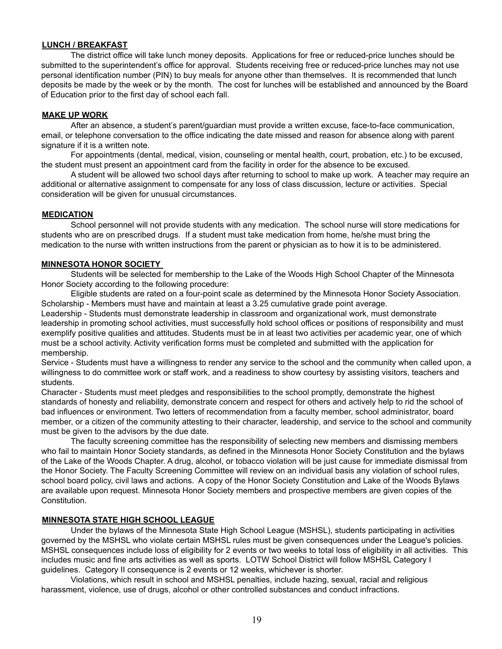#### **LUNCH / BREAKFAST**

The district office will take lunch money deposits. Applications for free or reduced-price lunches should be submitted to the superintendent's office for approval. Students receiving free or reduced-price lunches may not use personal identification number (PIN) to buy meals for anyone other than themselves. It is recommended that lunch deposits be made by the week or by the month. The cost for lunches will be established and announced by the Board of Education prior to the first day of school each fall.

#### **MAKE UP WORK**

After an absence, a student's parent/guardian must provide a written excuse, face-to-face communication, email, or telephone conversation to the office indicating the date missed and reason for absence along with parent signature if it is a written note.

For appointments (dental, medical, vision, counseling or mental health, court, probation, etc.) to be excused, the student must present an appointment card from the facility in order for the absence to be excused.

A student will be allowed two school days after returning to school to make up work. A teacher may require an additional or alternative assignment to compensate for any loss of class discussion, lecture or activities. Special consideration will be given for unusual circumstances.

#### **MEDICATION**

School personnel will not provide students with any medication. The school nurse will store medications for students who are on prescribed drugs. If a student must take medication from home, he/she must bring the medication to the nurse with written instructions from the parent or physician as to how it is to be administered.

#### **MINNESOTA HONOR SOCIETY**

Students will be selected for membership to the Lake of the Woods High School Chapter of the Minnesota Honor Society according to the following procedure:

Eligible students are rated on a four-point scale as determined by the Minnesota Honor Society Association. Scholarship - Members must have and maintain at least a 3.25 cumulative grade point average.

Leadership - Students must demonstrate leadership in classroom and organizational work, must demonstrate leadership in promoting school activities, must successfully hold school offices or positions of responsibility and must exemplify positive qualities and attitudes. Students must be in at least two activities per academic year, one of which must be a school activity. Activity verification forms must be completed and submitted with the application for membership.

Service - Students must have a willingness to render any service to the school and the community when called upon, a willingness to do committee work or staff work, and a readiness to show courtesy by assisting visitors, teachers and students.

Character - Students must meet pledges and responsibilities to the school promptly, demonstrate the highest standards of honesty and reliability, demonstrate concern and respect for others and actively help to rid the school of bad influences or environment. Two letters of recommendation from a faculty member, school administrator, board member, or a citizen of the community attesting to their character, leadership, and service to the school and community must be given to the advisors by the due date.

The faculty screening committee has the responsibility of selecting new members and dismissing members who fail to maintain Honor Society standards, as defined in the Minnesota Honor Society Constitution and the bylaws of the Lake of the Woods Chapter. A drug, alcohol, or tobacco violation will be just cause for immediate dismissal from the Honor Society. The Faculty Screening Committee will review on an individual basis any violation of school rules, school board policy, civil laws and actions. A copy of the Honor Society Constitution and Lake of the Woods Bylaws are available upon request. Minnesota Honor Society members and prospective members are given copies of the Constitution.

#### **MINNESOTA STATE HIGH SCHOOL LEAGUE**

Under the bylaws of the Minnesota State High School League (MSHSL), students participating in activities governed by the MSHSL who violate certain MSHSL rules must be given consequences under the League's policies. MSHSL consequences include loss of eligibility for 2 events or two weeks to total loss of eligibility in all activities. This includes music and fine arts activities as well as sports. LOTW School District will follow MSHSL Category I guidelines. Category II consequence is 2 events or 12 weeks, whichever is shorter.

Violations, which result in school and MSHSL penalties, include hazing, sexual, racial and religious harassment, violence, use of drugs, alcohol or other controlled substances and conduct infractions.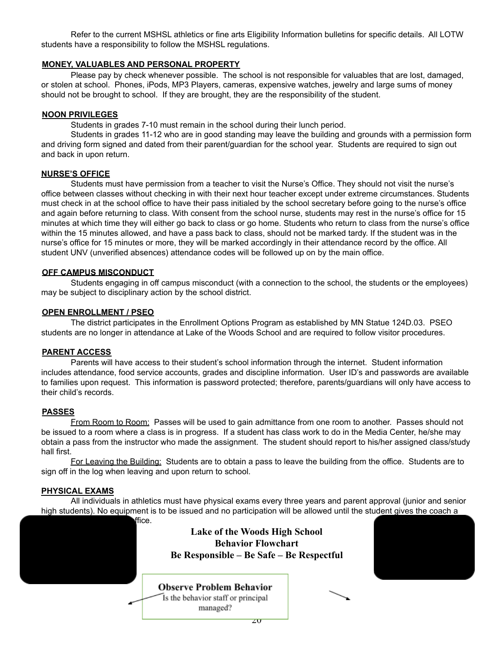Refer to the current MSHSL athletics or fine arts Eligibility Information bulletins for specific details. All LOTW students have a responsibility to follow the MSHSL regulations.

#### **MONEY, VALUABLES AND PERSONAL PROPERTY**

Please pay by check whenever possible. The school is not responsible for valuables that are lost, damaged, or stolen at school. Phones, iPods, MP3 Players, cameras, expensive watches, jewelry and large sums of money should not be brought to school. If they are brought, they are the responsibility of the student.

#### **NOON PRIVILEGES**

Students in grades 7-10 must remain in the school during their lunch period.

Students in grades 11-12 who are in good standing may leave the building and grounds with a permission form and driving form signed and dated from their parent/guardian for the school year. Students are required to sign out and back in upon return.

#### **NURSE'S OFFICE**

Students must have permission from a teacher to visit the Nurse's Office. They should not visit the nurse's office between classes without checking in with their next hour teacher except under extreme circumstances. Students must check in at the school office to have their pass initialed by the school secretary before going to the nurse's office and again before returning to class. With consent from the school nurse, students may rest in the nurse's office for 15 minutes at which time they will either go back to class or go home. Students who return to class from the nurse's office within the 15 minutes allowed, and have a pass back to class, should not be marked tardy. If the student was in the nurse's office for 15 minutes or more, they will be marked accordingly in their attendance record by the office. All student UNV (unverified absences) attendance codes will be followed up on by the main office.

#### **OFF CAMPUS MISCONDUCT**

Students engaging in off campus misconduct (with a connection to the school, the students or the employees) may be subject to disciplinary action by the school district.

#### **OPEN ENROLLMENT / PSEO**

The district participates in the Enrollment Options Program as established by MN Statue 124D.03. PSEO students are no longer in attendance at Lake of the Woods School and are required to follow visitor procedures.

#### **PARENT ACCESS**

Parents will have access to their student's school information through the internet. Student information includes attendance, food service accounts, grades and discipline information. User ID's and passwords are available to families upon request. This information is password protected; therefore, parents/guardians will only have access to their child's records.

#### **PASSES**

From Room to Room: Passes will be used to gain admittance from one room to another. Passes should not be issued to a room where a class is in progress. If a student has class work to do in the Media Center, he/she may obtain a pass from the instructor who made the assignment. The student should report to his/her assigned class/study hall first.

For Leaving the Building: Students are to obtain a pass to leave the building from the office. Students are to sign off in the log when leaving and upon return to school.

#### **PHYSICAL EXAMS**

All individuals in athletics must have physical exams every three years and parent approval (junior and senior high students). No equipment is to be issued and no participation will be allowed until the student gives the coach a

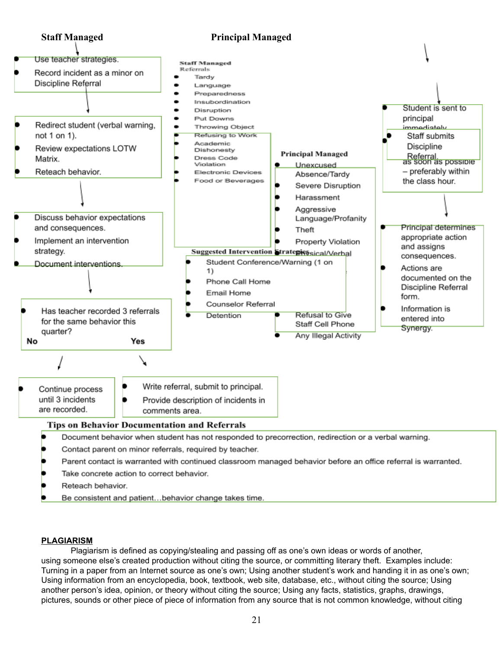

- Reteach behavior.
- Be consistent and patient...behavior change takes time.

#### **PLAGIARISM**

Plagiarism is defined as copying/stealing and passing off as one's own ideas or words of another, using someone else's created production without citing the source, or committing literary theft. Examples include: Turning in a paper from an Internet source as one's own; Using another student's work and handing it in as one's own; Using information from an encyclopedia, book, textbook, web site, database, etc., without citing the source; Using another person's idea, opinion, or theory without citing the source; Using any facts, statistics, graphs, drawings, pictures, sounds or other piece of piece of information from any source that is not common knowledge, without citing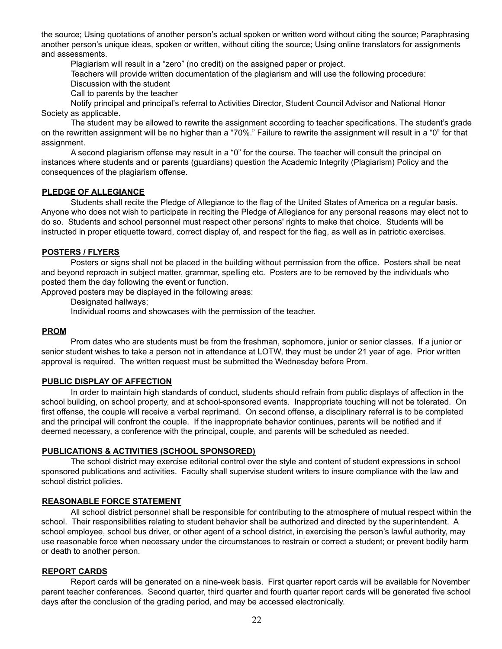the source; Using quotations of another person's actual spoken or written word without citing the source; Paraphrasing another person's unique ideas, spoken or written, without citing the source; Using online translators for assignments and assessments.

Plagiarism will result in a "zero" (no credit) on the assigned paper or project.

Teachers will provide written documentation of the plagiarism and will use the following procedure:

Discussion with the student

Call to parents by the teacher

Notify principal and principal's referral to Activities Director, Student Council Advisor and National Honor Society as applicable.

The student may be allowed to rewrite the assignment according to teacher specifications. The student's grade on the rewritten assignment will be no higher than a "70%." Failure to rewrite the assignment will result in a "0" for that assignment.

A second plagiarism offense may result in a "0" for the course. The teacher will consult the principal on instances where students and or parents (guardians) question the Academic Integrity (Plagiarism) Policy and the consequences of the plagiarism offense.

#### **PLEDGE OF ALLEGIANCE**

Students shall recite the Pledge of Allegiance to the flag of the United States of America on a regular basis. Anyone who does not wish to participate in reciting the Pledge of Allegiance for any personal reasons may elect not to do so. Students and school personnel must respect other persons' rights to make that choice. Students will be instructed in proper etiquette toward, correct display of, and respect for the flag, as well as in patriotic exercises.

### **POSTERS / FLYERS**

Posters or signs shall not be placed in the building without permission from the office. Posters shall be neat and beyond reproach in subject matter, grammar, spelling etc. Posters are to be removed by the individuals who posted them the day following the event or function.

Approved posters may be displayed in the following areas:

Designated hallways;

Individual rooms and showcases with the permission of the teacher.

#### **PROM**

Prom dates who are students must be from the freshman, sophomore, junior or senior classes. If a junior or senior student wishes to take a person not in attendance at LOTW, they must be under 21 year of age. Prior written approval is required. The written request must be submitted the Wednesday before Prom.

#### **PUBLIC DISPLAY OF AFFECTION**

In order to maintain high standards of conduct, students should refrain from public displays of affection in the school building, on school property, and at school-sponsored events. Inappropriate touching will not be tolerated. On first offense, the couple will receive a verbal reprimand. On second offense, a disciplinary referral is to be completed and the principal will confront the couple. If the inappropriate behavior continues, parents will be notified and if deemed necessary, a conference with the principal, couple, and parents will be scheduled as needed.

#### **PUBLICATIONS & ACTIVITIES (SCHOOL SPONSORED)**

The school district may exercise editorial control over the style and content of student expressions in school sponsored publications and activities. Faculty shall supervise student writers to insure compliance with the law and school district policies.

#### **REASONABLE FORCE STATEMENT**

All school district personnel shall be responsible for contributing to the atmosphere of mutual respect within the school. Their responsibilities relating to student behavior shall be authorized and directed by the superintendent. A school employee, school bus driver, or other agent of a school district, in exercising the person's lawful authority, may use reasonable force when necessary under the circumstances to restrain or correct a student; or prevent bodily harm or death to another person.

#### **REPORT CARDS**

Report cards will be generated on a nine-week basis. First quarter report cards will be available for November parent teacher conferences. Second quarter, third quarter and fourth quarter report cards will be generated five school days after the conclusion of the grading period, and may be accessed electronically.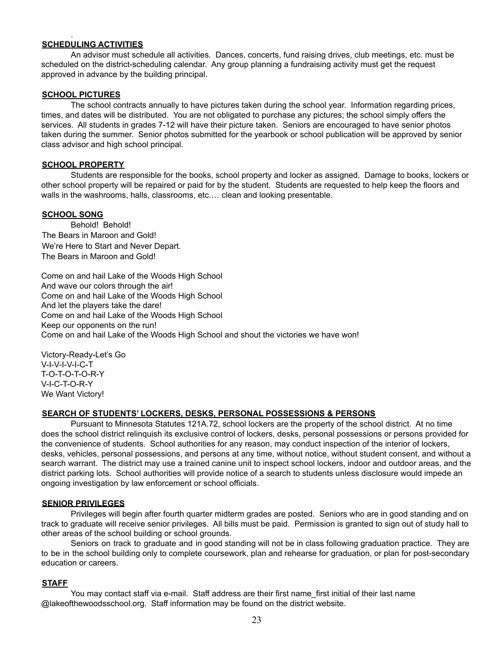#### **SCHEDULING ACTIVITIES**

An advisor must schedule all activities. Dances, concerts, fund raising drives, club meetings, etc. must be scheduled on the district-scheduling calendar. Any group planning a fundraising activity must get the request approved in advance by the building principal.

#### **SCHOOL PICTURES**

.

The school contracts annually to have pictures taken during the school year. Information regarding prices, times, and dates will be distributed. You are not obligated to purchase any pictures; the school simply offers the services. All students in grades 7-12 will have their picture taken. Seniors are encouraged to have senior photos taken during the summer. Senior photos submitted for the yearbook or school publication will be approved by senior class advisor and high school principal.

#### **SCHOOL PROPERTY**

Students are responsible for the books, school property and locker as assigned. Damage to books, lockers or other school property will be repaired or paid for by the student. Students are requested to help keep the floors and walls in the washrooms, halls, classrooms, etc.… clean and looking presentable.

#### **SCHOOL SONG**

Behold! Behold! The Bears in Maroon and Gold! We're Here to Start and Never Depart. The Bears in Maroon and Gold!

Come on and hail Lake of the Woods High School And wave our colors through the air! Come on and hail Lake of the Woods High School And let the players take the dare! Come on and hail Lake of the Woods High School Keep our opponents on the run! Come on and hail Lake of the Woods High School and shout the victories we have won!

Victory-Ready-Let's Go V-I-V-I-V-I-C-T T-O-T-O-T-O-R-Y V-I-C-T-O-R-Y We Want Victory!

#### **SEARCH OF STUDENTS' LOCKERS, DESKS, PERSONAL POSSESSIONS & PERSONS**

Pursuant to Minnesota Statutes 121A.72, school lockers are the property of the school district. At no time does the school district relinquish its exclusive control of lockers, desks, personal possessions or persons provided for the convenience of students. School authorities for any reason, may conduct inspection of the interior of lockers, desks, vehicles, personal possessions, and persons at any time, without notice, without student consent, and without a search warrant. The district may use a trained canine unit to inspect school lockers, indoor and outdoor areas, and the district parking lots. School authorities will provide notice of a search to students unless disclosure would impede an ongoing investigation by law enforcement or school officials.

#### **SENIOR PRIVILEGES**

Privileges will begin after fourth quarter midterm grades are posted. Seniors who are in good standing and on track to graduate will receive senior privileges. All bills must be paid. Permission is granted to sign out of study hall to other areas of the school building or school grounds.

Seniors on track to graduate and in good standing will not be in class following graduation practice. They are to be in the school building only to complete coursework, plan and rehearse for graduation, or plan for post-secondary education or careers.

#### **STAFF**

You may contact staff via e-mail. Staff address are their first name first initial of their last name @lakeofthewoodsschool.org. Staff information may be found on the district website.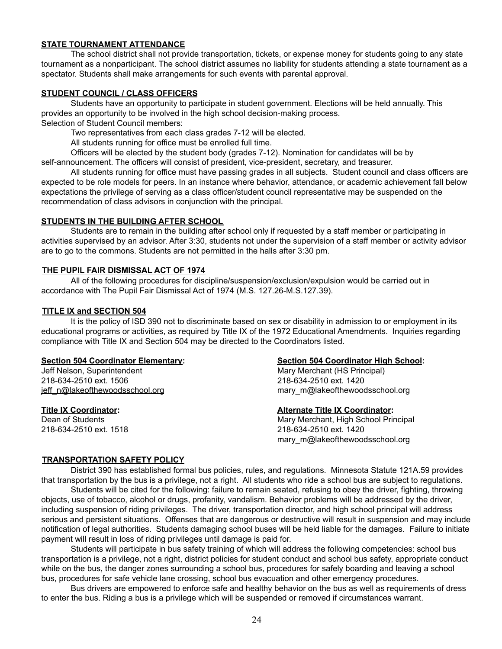#### **STATE TOURNAMENT ATTENDANCE**

The school district shall not provide transportation, tickets, or expense money for students going to any state tournament as a nonparticipant. The school district assumes no liability for students attending a state tournament as a spectator. Students shall make arrangements for such events with parental approval.

#### **STUDENT COUNCIL / CLASS OFFICERS**

Students have an opportunity to participate in student government. Elections will be held annually. This provides an opportunity to be involved in the high school decision-making process. Selection of Student Council members:

Two representatives from each class grades 7-12 will be elected.

All students running for office must be enrolled full time.

Officers will be elected by the student body (grades 7-12). Nomination for candidates will be by self-announcement. The officers will consist of president, vice-president, secretary, and treasurer.

All students running for office must have passing grades in all subjects. Student council and class officers are expected to be role models for peers. In an instance where behavior, attendance, or academic achievement fall below expectations the privilege of serving as a class officer/student council representative may be suspended on the recommendation of class advisors in conjunction with the principal.

#### **STUDENTS IN THE BUILDING AFTER SCHOOL**

Students are to remain in the building after school only if requested by a staff member or participating in activities supervised by an advisor. After 3:30, students not under the supervision of a staff member or activity advisor are to go to the commons. Students are not permitted in the halls after 3:30 pm.

#### **THE PUPIL FAIR DISMISSAL ACT OF 1974**

All of the following procedures for discipline/suspension/exclusion/expulsion would be carried out in accordance with The Pupil Fair Dismissal Act of 1974 (M.S. 127.26-M.S.127.39).

#### **TITLE IX and SECTION 504**

It is the policy of ISD 390 not to discriminate based on sex or disability in admission to or employment in its educational programs or activities, as required by Title IX of the 1972 Educational Amendments. Inquiries regarding compliance with Title IX and Section 504 may be directed to the Coordinators listed.

Jeff Nelson, Superintendent Mary Merchant (HS Principal) 218-634-2510 ext. 1506 218-634-2510 ext. 1420

#### **Section 504 Coordinator Elementary: Section 504 Coordinator High School:**

[jeff\\_n@lakeofthewoodsschool.org](mailto:jeff_n@lakeofthewoodsschool.org) mary\_m@lakeofthewoodsschool.org

#### **Title IX Coordinator: Alternate Title IX Coordinator:**

Dean of Students **Mary Merchant, High School Principal** 218-634-2510 ext. 1518 218-634-2510 ext. 1420 mary\_m@lakeofthewoodsschool.org

#### **TRANSPORTATION SAFETY POLICY**

District 390 has established formal bus policies, rules, and regulations. Minnesota Statute 121A.59 provides that transportation by the bus is a privilege, not a right. All students who ride a school bus are subject to regulations.

Students will be cited for the following: failure to remain seated, refusing to obey the driver, fighting, throwing objects, use of tobacco, alcohol or drugs, profanity, vandalism. Behavior problems will be addressed by the driver, including suspension of riding privileges. The driver, transportation director, and high school principal will address serious and persistent situations. Offenses that are dangerous or destructive will result in suspension and may include notification of legal authorities. Students damaging school buses will be held liable for the damages. Failure to initiate payment will result in loss of riding privileges until damage is paid for.

Students will participate in bus safety training of which will address the following competencies: school bus transportation is a privilege, not a right, district policies for student conduct and school bus safety, appropriate conduct while on the bus, the danger zones surrounding a school bus, procedures for safely boarding and leaving a school bus, procedures for safe vehicle lane crossing, school bus evacuation and other emergency procedures.

Bus drivers are empowered to enforce safe and healthy behavior on the bus as well as requirements of dress to enter the bus. Riding a bus is a privilege which will be suspended or removed if circumstances warrant.